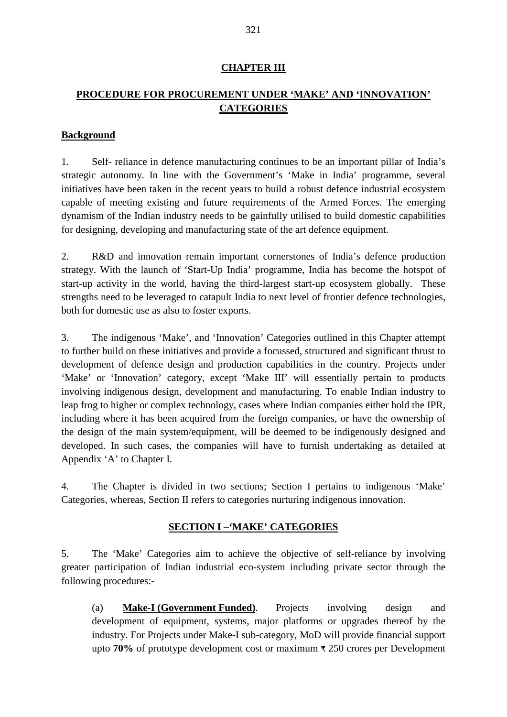#### **CHAPTER III**

## **PROCEDURE FOR PROCUREMENT UNDER 'MAKE' AND 'INNOVATION' CATEGORIES**

#### **Background**

1. Self- reliance in defence manufacturing continues to be an important pillar of India's strategic autonomy. In line with the Government's 'Make in India' programme, several initiatives have been taken in the recent years to build a robust defence industrial ecosystem capable of meeting existing and future requirements of the Armed Forces. The emerging dynamism of the Indian industry needs to be gainfully utilised to build domestic capabilities for designing, developing and manufacturing state of the art defence equipment.

2. R&D and innovation remain important cornerstones of India's defence production strategy. With the launch of 'Start-Up India' programme, India has become the hotspot of start-up activity in the world, having the third-largest start-up ecosystem globally. These strengths need to be leveraged to catapult India to next level of frontier defence technologies, both for domestic use as also to foster exports.

3. The indigenous 'Make', and 'Innovation' Categories outlined in this Chapter attempt to further build on these initiatives and provide a focussed, structured and significant thrust to development of defence design and production capabilities in the country. Projects under 'Make' or 'Innovation' category, except 'Make III' will essentially pertain to products involving indigenous design, development and manufacturing. To enable Indian industry to leap frog to higher or complex technology, cases where Indian companies either hold the IPR, including where it has been acquired from the foreign companies, or have the ownership of the design of the main system/equipment, will be deemed to be indigenously designed and developed. In such cases, the companies will have to furnish undertaking as detailed at Appendix 'A' to Chapter I.

4. The Chapter is divided in two sections; Section I pertains to indigenous 'Make' Categories, whereas, Section II refers to categories nurturing indigenous innovation.

#### **SECTION I –'MAKE' CATEGORIES**

5. The 'Make' Categories aim to achieve the objective of self-reliance by involving greater participation of Indian industrial eco-system including private sector through the following procedures:-

(a) **Make-I (Government Funded)**. Projects involving design and development of equipment, systems, major platforms or upgrades thereof by the industry. For Projects under Make-I sub-category, MoD will provide financial support upto **70%** of prototype development cost or maximum ₹ 250 crores per Development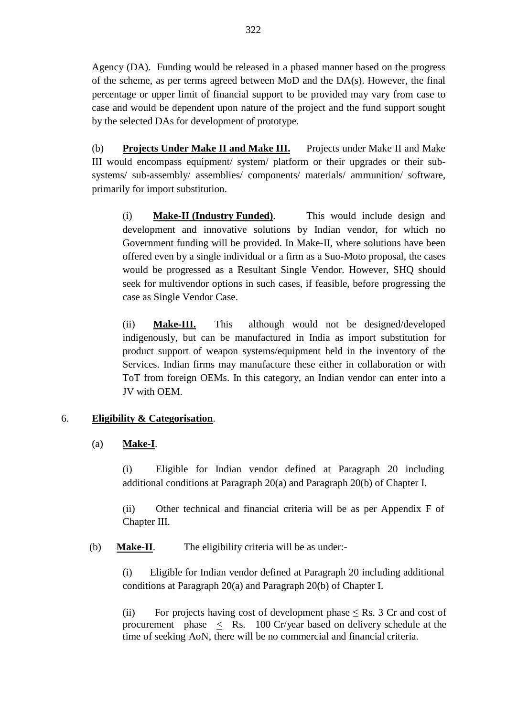Agency (DA). Funding would be released in a phased manner based on the progress of the scheme, as per terms agreed between MoD and the DA(s). However, the final percentage or upper limit of financial support to be provided may vary from case to case and would be dependent upon nature of the project and the fund support sought by the selected DAs for development of prototype.

(b) **Projects Under Make II and Make III.** Projects under Make II and Make III would encompass equipment/ system/ platform or their upgrades or their subsystems/ sub-assembly/ assemblies/ components/ materials/ ammunition/ software, primarily for import substitution.

(i) **Make-II (Industry Funded)**. This would include design and development and innovative solutions by Indian vendor, for which no Government funding will be provided. In Make-II, where solutions have been offered even by a single individual or a firm as a Suo-Moto proposal, the cases would be progressed as a Resultant Single Vendor. However, SHQ should seek for multivendor options in such cases, if feasible, before progressing the case as Single Vendor Case.

(ii) **Make-III.** This although would not be designed/developed indigenously, but can be manufactured in India as import substitution for product support of weapon systems/equipment held in the inventory of the Services. Indian firms may manufacture these either in collaboration or with ToT from foreign OEMs. In this category, an Indian vendor can enter into a JV with OEM.

### 6. **Eligibility & Categorisation**.

### (a) **Make-I**.

(i) Eligible for Indian vendor defined at Paragraph 20 including additional conditions at Paragraph 20(a) and Paragraph 20(b) of Chapter I.

(ii) Other technical and financial criteria will be as per Appendix F of Chapter III.

(b) **Make-II**. The eligibility criteria will be as under:-

(i) Eligible for Indian vendor defined at Paragraph 20 including additional conditions at Paragraph 20(a) and Paragraph 20(b) of Chapter I.

(ii) For projects having cost of development phase  $\leq$  Rs. 3 Cr and cost of procurement phase < Rs. 100 Cr/year based on delivery schedule at the time of seeking AoN, there will be no commercial and financial criteria.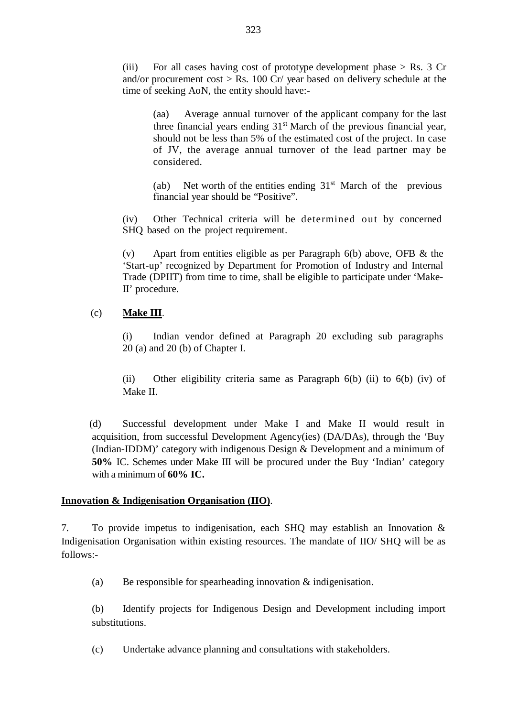(iii) For all cases having cost of prototype development phase  $>$  Rs. 3 Cr and/or procurement cost  $>$  Rs. 100 Cr/ year based on delivery schedule at the time of seeking AoN, the entity should have:-

(aa) Average annual turnover of the applicant company for the last three financial years ending  $31<sup>st</sup>$  March of the previous financial year, should not be less than 5% of the estimated cost of the project. In case of JV, the average annual turnover of the lead partner may be considered.

(ab) Net worth of the entities ending  $31<sup>st</sup>$  March of the previous financial year should be "Positive".

(iv) Other Technical criteria will be determined out by concerned SHQ based on the project requirement.

(v) Apart from entities eligible as per Paragraph 6(b) above, OFB & the 'Start-up' recognized by Department for Promotion of Industry and Internal Trade (DPIIT) from time to time, shall be eligible to participate under 'Make-II' procedure.

#### (c) **Make III**.

(i) Indian vendor defined at Paragraph 20 excluding sub paragraphs 20 (a) and 20 (b) of Chapter I.

(ii) Other eligibility criteria same as Paragraph 6(b) (ii) to 6(b) (iv) of Make II.

 (d) Successful development under Make I and Make II would result in acquisition, from successful Development Agency(ies) (DA/DAs), through the 'Buy (Indian-IDDM)' category with indigenous Design & Development and a minimum of **50%** IC. Schemes under Make III will be procured under the Buy 'Indian' category with a minimum of **60% IC.**

#### **Innovation & Indigenisation Organisation (IIO)**.

7. To provide impetus to indigenisation, each SHQ may establish an Innovation & Indigenisation Organisation within existing resources. The mandate of IIO/ SHQ will be as follows:-

(a) Be responsible for spearheading innovation  $\&$  indigenisation.

(b) Identify projects for Indigenous Design and Development including import substitutions.

(c) Undertake advance planning and consultations with stakeholders.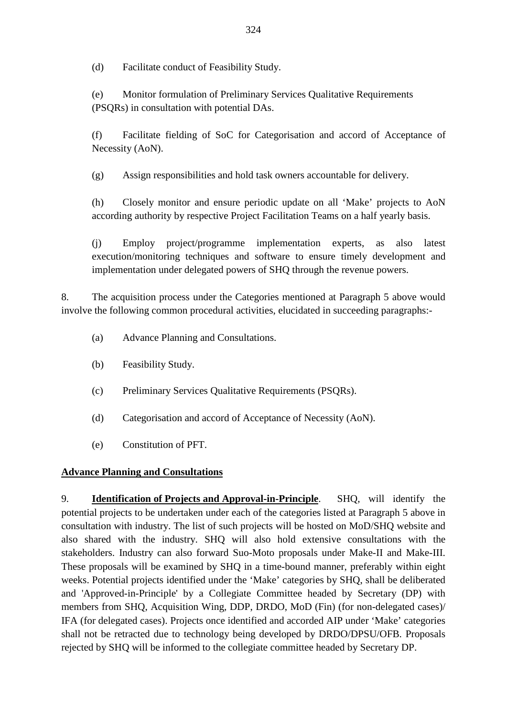(d) Facilitate conduct of Feasibility Study.

(e) Monitor formulation of Preliminary Services Qualitative Requirements (PSQRs) in consultation with potential DAs.

(f) Facilitate fielding of SoC for Categorisation and accord of Acceptance of Necessity (AoN).

(g) Assign responsibilities and hold task owners accountable for delivery.

(h) Closely monitor and ensure periodic update on all 'Make' projects to AoN according authority by respective Project Facilitation Teams on a half yearly basis.

(j) Employ project/programme implementation experts, as also latest execution/monitoring techniques and software to ensure timely development and implementation under delegated powers of SHQ through the revenue powers.

8. The acquisition process under the Categories mentioned at Paragraph 5 above would involve the following common procedural activities, elucidated in succeeding paragraphs:-

- (a) Advance Planning and Consultations.
- (b) Feasibility Study.
- (c) Preliminary Services Qualitative Requirements (PSQRs).
- (d) Categorisation and accord of Acceptance of Necessity (AoN).
- (e) Constitution of PFT.

### **Advance Planning and Consultations**

9. **Identification of Projects and Approval-in-Principle**. SHQ, will identify the potential projects to be undertaken under each of the categories listed at Paragraph 5 above in consultation with industry. The list of such projects will be hosted on MoD/SHQ website and also shared with the industry. SHQ will also hold extensive consultations with the stakeholders. Industry can also forward Suo-Moto proposals under Make-II and Make-III. These proposals will be examined by SHQ in a time-bound manner, preferably within eight weeks. Potential projects identified under the 'Make' categories by SHQ, shall be deliberated and 'Approved-in-Principle' by a Collegiate Committee headed by Secretary (DP) with members from SHQ, Acquisition Wing, DDP, DRDO, MoD (Fin) (for non-delegated cases)/ IFA (for delegated cases). Projects once identified and accorded AIP under 'Make' categories shall not be retracted due to technology being developed by DRDO/DPSU/OFB. Proposals rejected by SHQ will be informed to the collegiate committee headed by Secretary DP.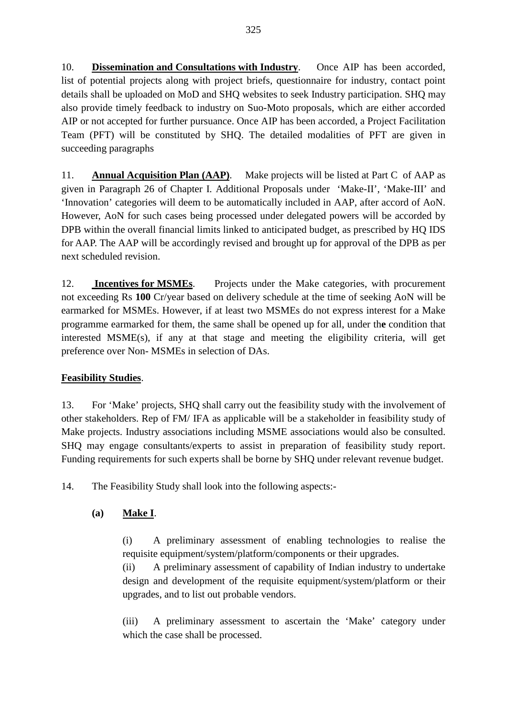10. **Dissemination and Consultations with Industry**. Once AIP has been accorded, list of potential projects along with project briefs, questionnaire for industry, contact point details shall be uploaded on MoD and SHQ websites to seek Industry participation. SHQ may also provide timely feedback to industry on Suo-Moto proposals, which are either accorded AIP or not accepted for further pursuance. Once AIP has been accorded, a Project Facilitation Team (PFT) will be constituted by SHQ. The detailed modalities of PFT are given in succeeding paragraphs

11. **Annual Acquisition Plan (AAP)**. Make projects will be listed at Part C of AAP as given in Paragraph 26 of Chapter I. Additional Proposals under 'Make-II', 'Make-III' and 'Innovation' categories will deem to be automatically included in AAP, after accord of AoN. However, AoN for such cases being processed under delegated powers will be accorded by DPB within the overall financial limits linked to anticipated budget, as prescribed by HQ IDS for AAP. The AAP will be accordingly revised and brought up for approval of the DPB as per next scheduled revision.

12. **Incentives for MSMEs**. Projects under the Make categories, with procurement not exceeding Rs **100** Cr/year based on delivery schedule at the time of seeking AoN will be earmarked for MSMEs. However, if at least two MSMEs do not express interest for a Make programme earmarked for them, the same shall be opened up for all, under th**e** condition that interested MSME(s), if any at that stage and meeting the eligibility criteria, will get preference over Non- MSMEs in selection of DAs.

## **Feasibility Studies**.

13. For 'Make' projects, SHQ shall carry out the feasibility study with the involvement of other stakeholders. Rep of FM/ IFA as applicable will be a stakeholder in feasibility study of Make projects. Industry associations including MSME associations would also be consulted. SHQ may engage consultants/experts to assist in preparation of feasibility study report. Funding requirements for such experts shall be borne by SHQ under relevant revenue budget.

14. The Feasibility Study shall look into the following aspects:-

## **(a) Make I**.

(i) A preliminary assessment of enabling technologies to realise the requisite equipment/system/platform/components or their upgrades.

(ii) A preliminary assessment of capability of Indian industry to undertake design and development of the requisite equipment/system/platform or their upgrades, and to list out probable vendors.

(iii) A preliminary assessment to ascertain the 'Make' category under which the case shall be processed.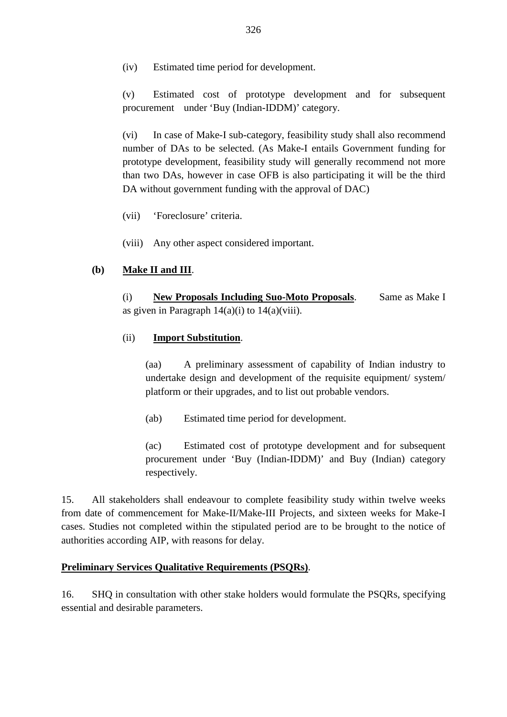(iv) Estimated time period for development.

(v) Estimated cost of prototype development and for subsequent procurement under 'Buy (Indian-IDDM)' category.

(vi) In case of Make-I sub-category, feasibility study shall also recommend number of DAs to be selected. (As Make-I entails Government funding for prototype development, feasibility study will generally recommend not more than two DAs, however in case OFB is also participating it will be the third DA without government funding with the approval of DAC)

- (vii) 'Foreclosure' criteria.
- (viii) Any other aspect considered important.

### **(b) Make II and III**.

(i) **New Proposals Including Suo-Moto Proposals**. Same as Make I as given in Paragraph  $14(a)(i)$  to  $14(a)(viii)$ .

#### (ii) **Import Substitution**.

(aa) A preliminary assessment of capability of Indian industry to undertake design and development of the requisite equipment/ system/ platform or their upgrades, and to list out probable vendors.

(ab) Estimated time period for development.

(ac) Estimated cost of prototype development and for subsequent procurement under 'Buy (Indian-IDDM)' and Buy (Indian) category respectively.

15. All stakeholders shall endeavour to complete feasibility study within twelve weeks from date of commencement for Make-II/Make-III Projects, and sixteen weeks for Make-I cases. Studies not completed within the stipulated period are to be brought to the notice of authorities according AIP, with reasons for delay.

#### **Preliminary Services Qualitative Requirements (PSQRs)**.

16. SHQ in consultation with other stake holders would formulate the PSQRs, specifying essential and desirable parameters.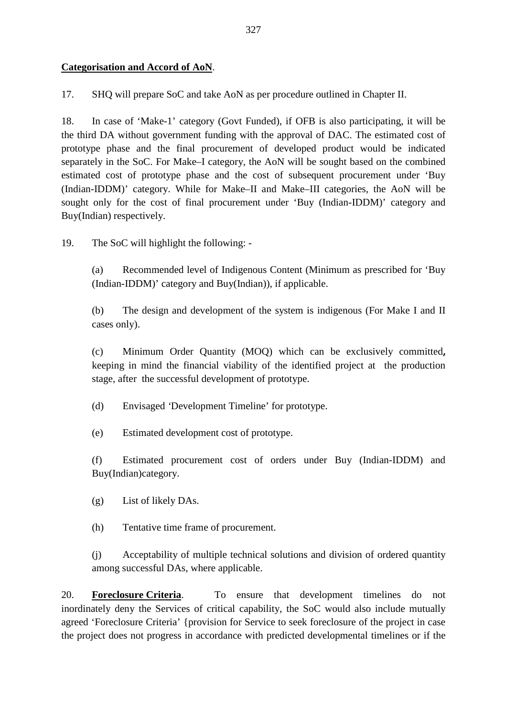## **Categorisation and Accord of AoN**.

17. SHQ will prepare SoC and take AoN as per procedure outlined in Chapter II.

18. In case of 'Make-1' category (Govt Funded), if OFB is also participating, it will be the third DA without government funding with the approval of DAC. The estimated cost of prototype phase and the final procurement of developed product would be indicated separately in the SoC. For Make–I category, the AoN will be sought based on the combined estimated cost of prototype phase and the cost of subsequent procurement under 'Buy (Indian-IDDM)' category. While for Make–II and Make–III categories, the AoN will be sought only for the cost of final procurement under 'Buy (Indian-IDDM)' category and Buy(Indian) respectively.

19. The SoC will highlight the following: -

(a) Recommended level of Indigenous Content (Minimum as prescribed for 'Buy (Indian-IDDM)' category and Buy(Indian)), if applicable.

(b) The design and development of the system is indigenous (For Make I and II cases only).

(c) Minimum Order Quantity (MOQ) which can be exclusively committed**,**  keeping in mind the financial viability of the identified project at the production stage, after the successful development of prototype.

(d) Envisaged *'*Development Timeline' for prototype.

(e) Estimated development cost of prototype.

(f) Estimated procurement cost of orders under Buy (Indian-IDDM) and Buy(Indian)category.

(g) List of likely DAs.

(h) Tentative time frame of procurement.

(j) Acceptability of multiple technical solutions and division of ordered quantity among successful DAs, where applicable.

20. **Foreclosure Criteria**. To ensure that development timelines do not inordinately deny the Services of critical capability, the SoC would also include mutually agreed 'Foreclosure Criteria' {provision for Service to seek foreclosure of the project in case the project does not progress in accordance with predicted developmental timelines or if the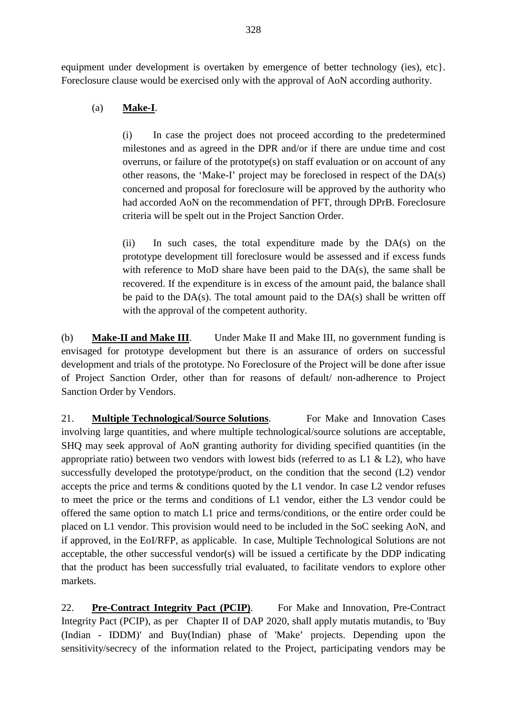equipment under development is overtaken by emergence of better technology (ies), etc. Foreclosure clause would be exercised only with the approval of AoN according authority.

## (a) **Make-I**.

(i) In case the project does not proceed according to the predetermined milestones and as agreed in the DPR and/or if there are undue time and cost overruns, or failure of the prototype(s) on staff evaluation or on account of any other reasons, the 'Make-I' project may be foreclosed in respect of the DA(s) concerned and proposal for foreclosure will be approved by the authority who had accorded AoN on the recommendation of PFT, through DPrB. Foreclosure criteria will be spelt out in the Project Sanction Order.

(ii) In such cases, the total expenditure made by the DA(s) on the prototype development till foreclosure would be assessed and if excess funds with reference to MoD share have been paid to the DA(s), the same shall be recovered. If the expenditure is in excess of the amount paid, the balance shall be paid to the  $DA(s)$ . The total amount paid to the  $DA(s)$  shall be written off with the approval of the competent authority.

(b) **Make-II and Make III**. Under Make II and Make III, no government funding is envisaged for prototype development but there is an assurance of orders on successful development and trials of the prototype. No Foreclosure of the Project will be done after issue of Project Sanction Order, other than for reasons of default/ non-adherence to Project Sanction Order by Vendors.

21. **Multiple Technological/Source Solutions**. For Make and Innovation Cases involving large quantities, and where multiple technological/source solutions are acceptable, SHQ may seek approval of AoN granting authority for dividing specified quantities (in the appropriate ratio) between two vendors with lowest bids (referred to as  $L1 \& L2$ ), who have successfully developed the prototype/product, on the condition that the second (L2) vendor accepts the price and terms & conditions quoted by the L1 vendor. In case L2 vendor refuses to meet the price or the terms and conditions of L1 vendor, either the L3 vendor could be offered the same option to match L1 price and terms/conditions, or the entire order could be placed on L1 vendor. This provision would need to be included in the SoC seeking AoN, and if approved, in the EoI/RFP, as applicable. In case, Multiple Technological Solutions are not acceptable, the other successful vendor(s) will be issued a certificate by the DDP indicating that the product has been successfully trial evaluated, to facilitate vendors to explore other markets.

22. **Pre-Contract Integrity Pact (PCIP)**. For Make and Innovation, Pre-Contract Integrity Pact (PCIP), as per Chapter II of DAP 2020, shall apply mutatis mutandis, to 'Buy (Indian - IDDM)' and Buy(Indian) phase of 'Make' projects. Depending upon the sensitivity/secrecy of the information related to the Project, participating vendors may be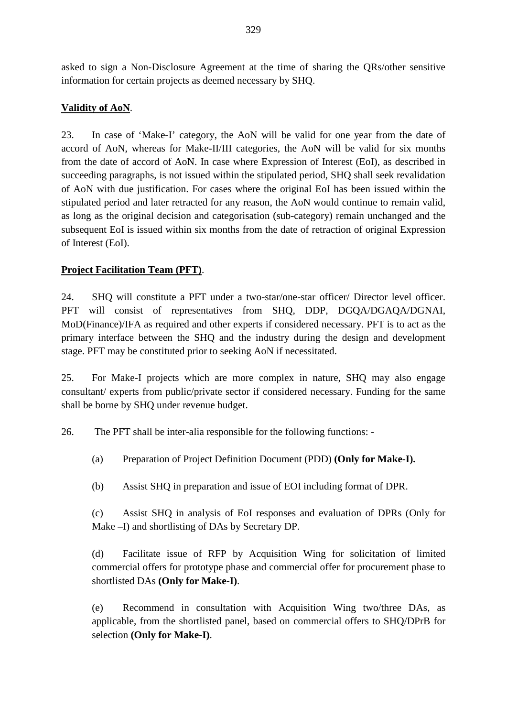asked to sign a Non-Disclosure Agreement at the time of sharing the QRs/other sensitive information for certain projects as deemed necessary by SHQ.

## **Validity of AoN**.

23. In case of 'Make-I' category, the AoN will be valid for one year from the date of accord of AoN, whereas for Make-II/III categories, the AoN will be valid for six months from the date of accord of AoN. In case where Expression of Interest (EoI), as described in succeeding paragraphs, is not issued within the stipulated period, SHQ shall seek revalidation of AoN with due justification. For cases where the original EoI has been issued within the stipulated period and later retracted for any reason, the AoN would continue to remain valid, as long as the original decision and categorisation (sub-category) remain unchanged and the subsequent EoI is issued within six months from the date of retraction of original Expression of Interest (EoI).

## **Project Facilitation Team (PFT)**.

24. SHQ will constitute a PFT under a two-star/one-star officer/ Director level officer. PFT will consist of representatives from SHQ, DDP, DGQA/DGAQA/DGNAI, MoD(Finance)/IFA as required and other experts if considered necessary. PFT is to act as the primary interface between the SHQ and the industry during the design and development stage. PFT may be constituted prior to seeking AoN if necessitated.

25. For Make-I projects which are more complex in nature, SHQ may also engage consultant/ experts from public/private sector if considered necessary. Funding for the same shall be borne by SHQ under revenue budget.

26. The PFT shall be inter-alia responsible for the following functions: -

(a) Preparation of Project Definition Document (PDD) **(Only for Make-I).**

(b) Assist SHQ in preparation and issue of EOI including format of DPR.

(c) Assist SHQ in analysis of EoI responses and evaluation of DPRs (Only for Make –I) and shortlisting of DAs by Secretary DP.

(d) Facilitate issue of RFP by Acquisition Wing for solicitation of limited commercial offers for prototype phase and commercial offer for procurement phase to shortlisted DAs **(Only for Make-I)**.

(e) Recommend in consultation with Acquisition Wing two/three DAs, as applicable, from the shortlisted panel, based on commercial offers to SHQ/DPrB for selection **(Only for Make-I)**.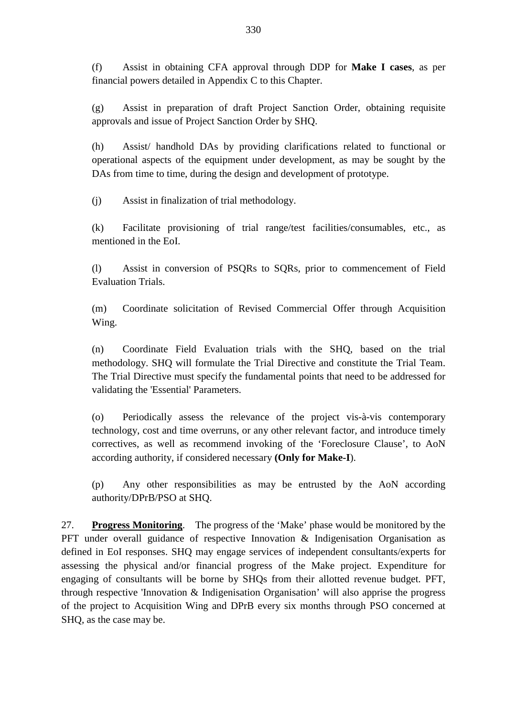(f) Assist in obtaining CFA approval through DDP for **Make I cases**, as per financial powers detailed in Appendix C to this Chapter.

(g) Assist in preparation of draft Project Sanction Order, obtaining requisite approvals and issue of Project Sanction Order by SHQ.

(h) Assist/ handhold DAs by providing clarifications related to functional or operational aspects of the equipment under development, as may be sought by the DAs from time to time, during the design and development of prototype.

(j) Assist in finalization of trial methodology.

(k) Facilitate provisioning of trial range/test facilities/consumables, etc., as mentioned in the EoI.

(l) Assist in conversion of PSQRs to SQRs, prior to commencement of Field Evaluation Trials.

(m) Coordinate solicitation of Revised Commercial Offer through Acquisition Wing.

(n) Coordinate Field Evaluation trials with the SHQ, based on the trial methodology. SHQ will formulate the Trial Directive and constitute the Trial Team. The Trial Directive must specify the fundamental points that need to be addressed for validating the 'Essential' Parameters.

(o) Periodically assess the relevance of the project vis-à-vis contemporary technology, cost and time overruns, or any other relevant factor, and introduce timely correctives, as well as recommend invoking of the 'Foreclosure Clause', to AoN according authority, if considered necessary **(Only for Make-I**).

(p) Any other responsibilities as may be entrusted by the AoN according authority/DPrB/PSO at SHQ.

27. **Progress Monitoring**. The progress of the 'Make' phase would be monitored by the PFT under overall guidance of respective Innovation & Indigenisation Organisation as defined in EoI responses. SHQ may engage services of independent consultants/experts for assessing the physical and/or financial progress of the Make project. Expenditure for engaging of consultants will be borne by SHQs from their allotted revenue budget. PFT, through respective 'Innovation & Indigenisation Organisation' will also apprise the progress of the project to Acquisition Wing and DPrB every six months through PSO concerned at SHQ, as the case may be.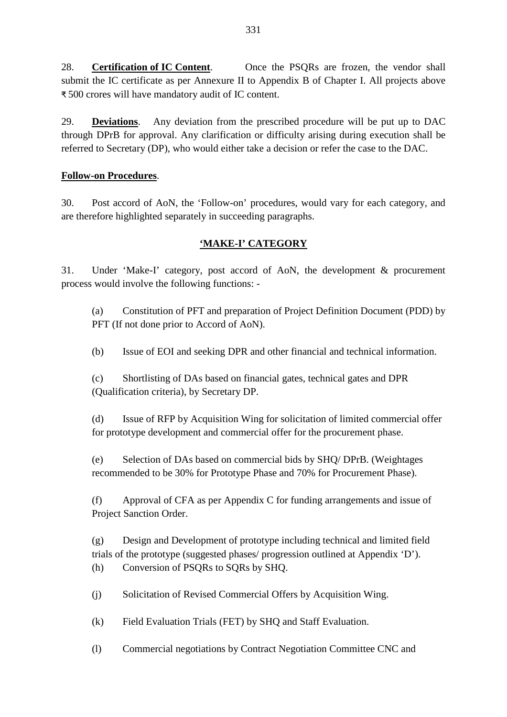28. **Certification of IC Content**. Once the PSQRs are frozen, the vendor shall submit the IC certificate as per Annexure II to Appendix B of Chapter I. All projects above ₹ 500 crores will have mandatory audit of IC content.

29. **Deviations**. Any deviation from the prescribed procedure will be put up to DAC through DPrB for approval. Any clarification or difficulty arising during execution shall be referred to Secretary (DP), who would either take a decision or refer the case to the DAC.

## **Follow-on Procedures**.

30. Post accord of AoN, the 'Follow-on' procedures, would vary for each category, and are therefore highlighted separately in succeeding paragraphs.

## **'MAKE-I' CATEGORY**

31. Under 'Make-I' category, post accord of AoN, the development & procurement process would involve the following functions: -

(a) Constitution of PFT and preparation of Project Definition Document (PDD) by PFT (If not done prior to Accord of AoN).

(b) Issue of EOI and seeking DPR and other financial and technical information.

(c) Shortlisting of DAs based on financial gates, technical gates and DPR (Qualification criteria), by Secretary DP.

(d) Issue of RFP by Acquisition Wing for solicitation of limited commercial offer for prototype development and commercial offer for the procurement phase.

(e) Selection of DAs based on commercial bids by SHQ/ DPrB. (Weightages recommended to be 30% for Prototype Phase and 70% for Procurement Phase).

(f) Approval of CFA as per Appendix C for funding arrangements and issue of Project Sanction Order.

(g) Design and Development of prototype including technical and limited field trials of the prototype (suggested phases/ progression outlined at Appendix 'D'). (h) Conversion of PSQRs to SQRs by SHQ.

(j) Solicitation of Revised Commercial Offers by Acquisition Wing.

(k) Field Evaluation Trials (FET) by SHQ and Staff Evaluation.

(l) Commercial negotiations by Contract Negotiation Committee CNC and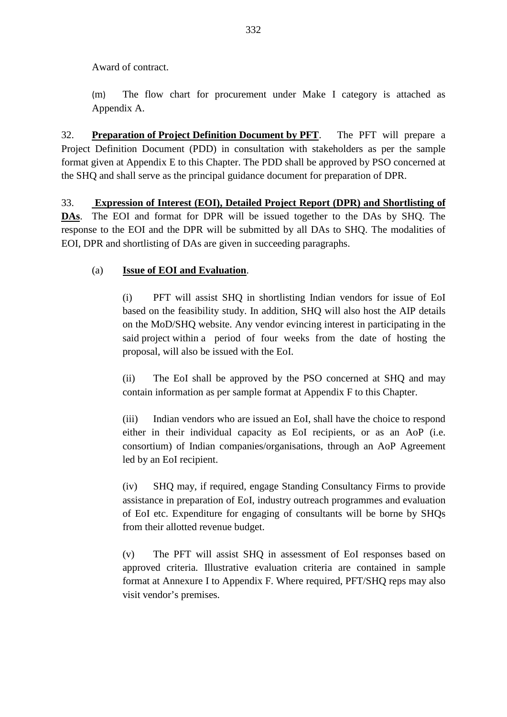Award of contract.

(m) The flow chart for procurement under Make I category is attached as Appendix A.

32. **Preparation of Project Definition Document by PFT**. The PFT will prepare a Project Definition Document (PDD) in consultation with stakeholders as per the sample format given at Appendix E to this Chapter. The PDD shall be approved by PSO concerned at the SHQ and shall serve as the principal guidance document for preparation of DPR.

33. **Expression of Interest (EOI), Detailed Project Report (DPR) and Shortlisting of DAs**. The EOI and format for DPR will be issued together to the DAs by SHQ. The response to the EOI and the DPR will be submitted by all DAs to SHQ. The modalities of EOI, DPR and shortlisting of DAs are given in succeeding paragraphs.

## (a) **Issue of EOI and Evaluation**.

(i) PFT will assist SHQ in shortlisting Indian vendors for issue of EoI based on the feasibility study. In addition, SHQ will also host the AIP details on the MoD/SHQ website. Any vendor evincing interest in participating in the said project within a period of four weeks from the date of hosting the proposal, will also be issued with the EoI.

(ii) The EoI shall be approved by the PSO concerned at SHQ and may contain information as per sample format at Appendix F to this Chapter.

(iii) Indian vendors who are issued an EoI, shall have the choice to respond either in their individual capacity as EoI recipients, or as an AoP (i.e. consortium) of Indian companies/organisations, through an AoP Agreement led by an EoI recipient.

(iv) SHQ may, if required, engage Standing Consultancy Firms to provide assistance in preparation of EoI, industry outreach programmes and evaluation of EoI etc. Expenditure for engaging of consultants will be borne by SHQs from their allotted revenue budget.

(v) The PFT will assist SHQ in assessment of EoI responses based on approved criteria. Illustrative evaluation criteria are contained in sample format at Annexure I to Appendix F. Where required, PFT/SHQ reps may also visit vendor's premises.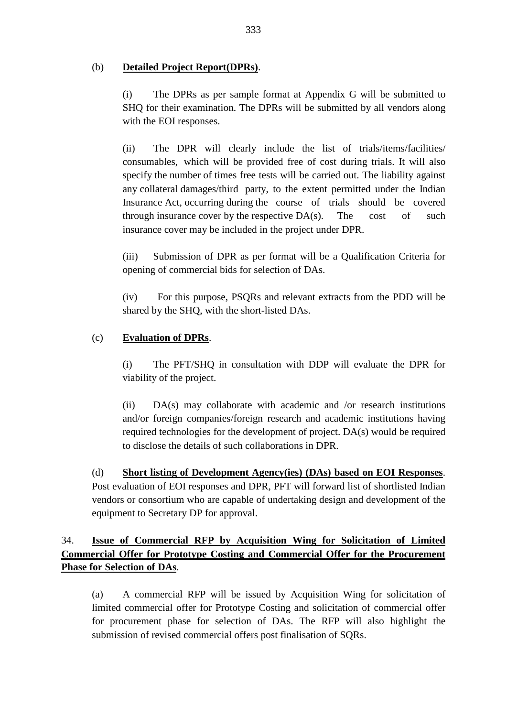## (b) **Detailed Project Report(DPRs)**.

(i) The DPRs as per sample format at Appendix G will be submitted to SHQ for their examination. The DPRs will be submitted by all vendors along with the EOI responses.

(ii) The DPR will clearly include the list of trials/items/facilities/ consumables, which will be provided free of cost during trials. It will also specify the number of times free tests will be carried out. The liability against any collateral damages/third party, to the extent permitted under the Indian Insurance Act, occurring during the course of trials should be covered through insurance cover by the respective  $DA(s)$ . The cost of such insurance cover may be included in the project under DPR.

(iii) Submission of DPR as per format will be a Qualification Criteria for opening of commercial bids for selection of DAs.

(iv) For this purpose, PSQRs and relevant extracts from the PDD will be shared by the SHQ, with the short-listed DAs.

## (c) **Evaluation of DPRs**.

(i) The PFT/SHQ in consultation with DDP will evaluate the DPR for viability of the project.

(ii) DA(s) may collaborate with academic and /or research institutions and/or foreign companies/foreign research and academic institutions having required technologies for the development of project. DA(s) would be required to disclose the details of such collaborations in DPR.

(d) **Short listing of Development Agency(ies) (DAs) based on EOI Responses**. Post evaluation of EOI responses and DPR, PFT will forward list of shortlisted Indian vendors or consortium who are capable of undertaking design and development of the equipment to Secretary DP for approval.

## 34. **Issue of Commercial RFP by Acquisition Wing for Solicitation of Limited Commercial Offer for Prototype Costing and Commercial Offer for the Procurement Phase for Selection of DAs**.

(a) A commercial RFP will be issued by Acquisition Wing for solicitation of limited commercial offer for Prototype Costing and solicitation of commercial offer for procurement phase for selection of DAs. The RFP will also highlight the submission of revised commercial offers post finalisation of SQRs.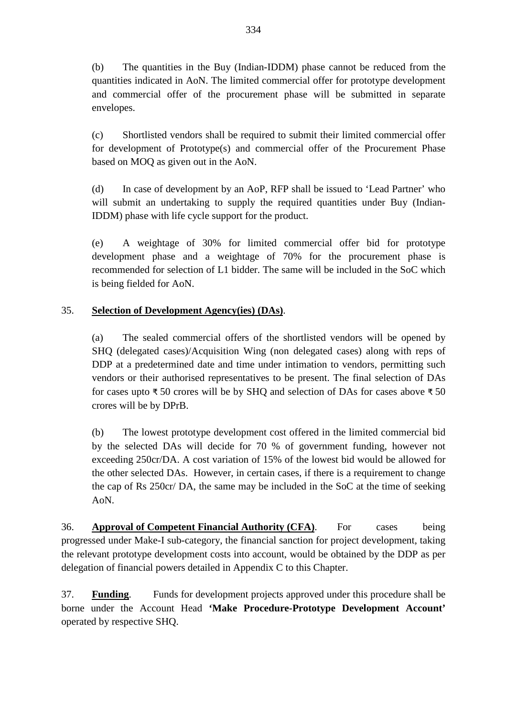(b) The quantities in the Buy (Indian-IDDM) phase cannot be reduced from the quantities indicated in AoN. The limited commercial offer for prototype development and commercial offer of the procurement phase will be submitted in separate envelopes.

(c) Shortlisted vendors shall be required to submit their limited commercial offer for development of Prototype(s) and commercial offer of the Procurement Phase based on MOQ as given out in the AoN.

(d) In case of development by an AoP, RFP shall be issued to 'Lead Partner' who will submit an undertaking to supply the required quantities under Buy (Indian-IDDM) phase with life cycle support for the product.

(e) A weightage of 30% for limited commercial offer bid for prototype development phase and a weightage of 70% for the procurement phase is recommended for selection of L1 bidder. The same will be included in the SoC which is being fielded for AoN.

## 35. **Selection of Development Agency(ies) (DAs)**.

(a) The sealed commercial offers of the shortlisted vendors will be opened by SHQ (delegated cases)/Acquisition Wing (non delegated cases) along with reps of DDP at a predetermined date and time under intimation to vendors, permitting such vendors or their authorised representatives to be present. The final selection of DAs for cases upto ₹ 50 crores will be by SHQ and selection of DAs for cases above ₹ 50 crores will be by DPrB.

(b) The lowest prototype development cost offered in the limited commercial bid by the selected DAs will decide for 70 % of government funding, however not exceeding 250cr/DA. A cost variation of 15% of the lowest bid would be allowed for the other selected DAs. However, in certain cases, if there is a requirement to change the cap of Rs 250cr/ DA, the same may be included in the SoC at the time of seeking AoN.

36. **Approval of Competent Financial Authority (CFA)**. For cases being progressed under Make-I sub-category, the financial sanction for project development, taking the relevant prototype development costs into account, would be obtained by the DDP as per delegation of financial powers detailed in Appendix C to this Chapter.

37. **Funding**. Funds for development projects approved under this procedure shall be borne under the Account Head **'Make Procedure-Prototype Development Account'** operated by respective SHQ.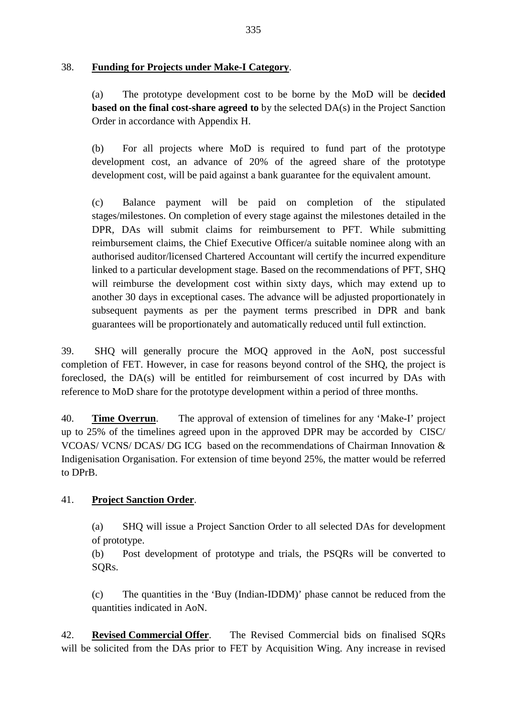## 38. **Funding for Projects under Make-I Category**.

(a) The prototype development cost to be borne by the MoD will be d**ecided based on the final cost-share agreed to** by the selected DA(s) in the Project Sanction Order in accordance with Appendix H.

(b) For all projects where MoD is required to fund part of the prototype development cost, an advance of 20% of the agreed share of the prototype development cost, will be paid against a bank guarantee for the equivalent amount.

(c) Balance payment will be paid on completion of the stipulated stages/milestones. On completion of every stage against the milestones detailed in the DPR, DAs will submit claims for reimbursement to PFT. While submitting reimbursement claims, the Chief Executive Officer/a suitable nominee along with an authorised auditor/licensed Chartered Accountant will certify the incurred expenditure linked to a particular development stage. Based on the recommendations of PFT, SHQ will reimburse the development cost within sixty days, which may extend up to another 30 days in exceptional cases. The advance will be adjusted proportionately in subsequent payments as per the payment terms prescribed in DPR and bank guarantees will be proportionately and automatically reduced until full extinction.

39. SHQ will generally procure the MOQ approved in the AoN, post successful completion of FET. However, in case for reasons beyond control of the SHQ, the project is foreclosed, the DA(s) will be entitled for reimbursement of cost incurred by DAs with reference to MoD share for the prototype development within a period of three months.

40. **Time Overrun**. The approval of extension of timelines for any 'Make-I' project up to 25% of the timelines agreed upon in the approved DPR may be accorded by CISC/ VCOAS/ VCNS/ DCAS/ DG ICG based on the recommendations of Chairman Innovation & Indigenisation Organisation. For extension of time beyond 25%, the matter would be referred to DPrB.

## 41. **Project Sanction Order**.

(a) SHQ will issue a Project Sanction Order to all selected DAs for development of prototype.

(b) Post development of prototype and trials, the PSQRs will be converted to SQRs.

(c) The quantities in the 'Buy (Indian-IDDM)' phase cannot be reduced from the quantities indicated in AoN.

42. **Revised Commercial Offer**. The Revised Commercial bids on finalised SQRs will be solicited from the DAs prior to FET by Acquisition Wing. Any increase in revised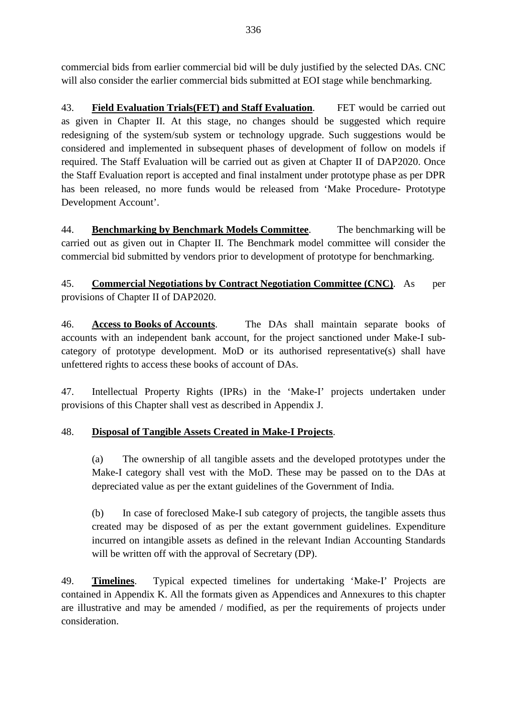commercial bids from earlier commercial bid will be duly justified by the selected DAs. CNC will also consider the earlier commercial bids submitted at EOI stage while benchmarking.

43. **Field Evaluation Trials(FET) and Staff Evaluation**. FET would be carried out as given in Chapter II. At this stage, no changes should be suggested which require redesigning of the system/sub system or technology upgrade. Such suggestions would be considered and implemented in subsequent phases of development of follow on models if required. The Staff Evaluation will be carried out as given at Chapter II of DAP2020. Once the Staff Evaluation report is accepted and final instalment under prototype phase as per DPR has been released, no more funds would be released from 'Make Procedure- Prototype Development Account'.

44. **Benchmarking by Benchmark Models Committee**. The benchmarking will be carried out as given out in Chapter II. The Benchmark model committee will consider the commercial bid submitted by vendors prior to development of prototype for benchmarking.

45. **Commercial Negotiations by Contract Negotiation Committee (CNC)**. As per provisions of Chapter II of DAP2020.

46. **Access to Books of Accounts**. The DAs shall maintain separate books of accounts with an independent bank account, for the project sanctioned under Make-I subcategory of prototype development. MoD or its authorised representative(s) shall have unfettered rights to access these books of account of DAs.

47. Intellectual Property Rights (IPRs) in the 'Make-I' projects undertaken under provisions of this Chapter shall vest as described in Appendix J.

## 48. **Disposal of Tangible Assets Created in Make-I Projects**.

(a) The ownership of all tangible assets and the developed prototypes under the Make-I category shall vest with the MoD. These may be passed on to the DAs at depreciated value as per the extant guidelines of the Government of India.

(b) In case of foreclosed Make-I sub category of projects, the tangible assets thus created may be disposed of as per the extant government guidelines. Expenditure incurred on intangible assets as defined in the relevant Indian Accounting Standards will be written off with the approval of Secretary (DP).

49. **Timelines**. Typical expected timelines for undertaking 'Make-I' Projects are contained in Appendix K. All the formats given as Appendices and Annexures to this chapter are illustrative and may be amended / modified, as per the requirements of projects under consideration.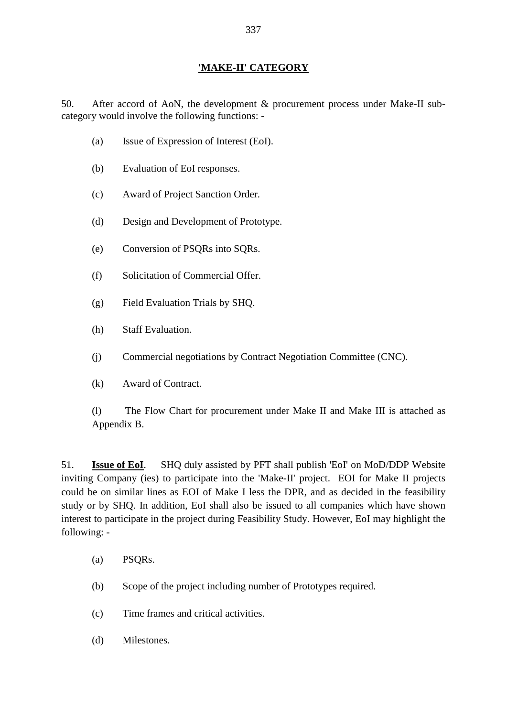## **'MAKE-II' CATEGORY**

50. After accord of AoN, the development & procurement process under Make-II subcategory would involve the following functions: -

- (a) Issue of Expression of Interest (EoI).
- (b) Evaluation of EoI responses.
- (c) Award of Project Sanction Order.
- (d) Design and Development of Prototype.
- (e) Conversion of PSQRs into SQRs.
- (f) Solicitation of Commercial Offer.
- (g) Field Evaluation Trials by SHQ.
- (h) Staff Evaluation.
- (j) Commercial negotiations by Contract Negotiation Committee (CNC).
- (k) Award of Contract.

(l) The Flow Chart for procurement under Make II and Make III is attached as Appendix B.

51. **Issue of EoI**. SHQ duly assisted by PFT shall publish 'EoI' on MoD/DDP Website inviting Company (ies) to participate into the 'Make-II' project. EOI for Make II projects could be on similar lines as EOI of Make I less the DPR, and as decided in the feasibility study or by SHQ. In addition, EoI shall also be issued to all companies which have shown interest to participate in the project during Feasibility Study. However, EoI may highlight the following: -

- (a) PSQRs.
- (b) Scope of the project including number of Prototypes required.
- (c) Time frames and critical activities.
- (d) Milestones.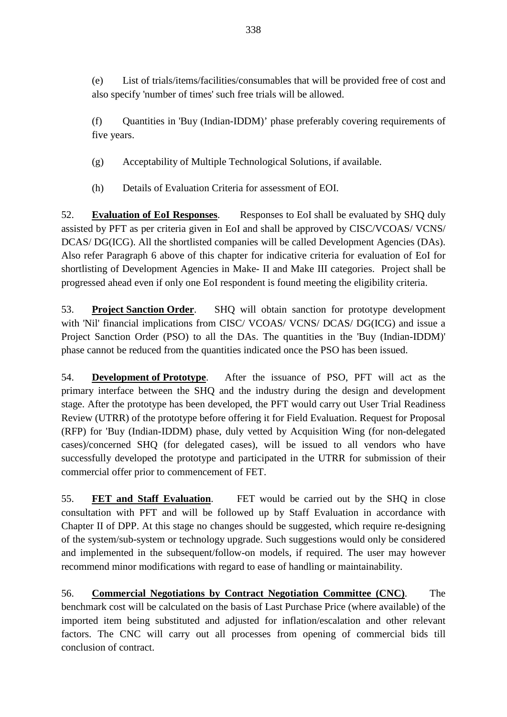(e) List of trials/items/facilities/consumables that will be provided free of cost and also specify 'number of times' such free trials will be allowed.

(f) Quantities in 'Buy (Indian-IDDM)' phase preferably covering requirements of five years.

(g) Acceptability of Multiple Technological Solutions, if available.

(h) Details of Evaluation Criteria for assessment of EOI.

52. **Evaluation of EoI Responses**. Responses to EoI shall be evaluated by SHQ duly assisted by PFT as per criteria given in EoI and shall be approved by CISC/VCOAS/ VCNS/ DCAS/ DG(ICG). All the shortlisted companies will be called Development Agencies (DAs). Also refer Paragraph 6 above of this chapter for indicative criteria for evaluation of EoI for shortlisting of Development Agencies in Make- II and Make III categories. Project shall be progressed ahead even if only one EoI respondent is found meeting the eligibility criteria.

53. **Project Sanction Order**. SHQ will obtain sanction for prototype development with 'Nil' financial implications from CISC/ VCOAS/ VCNS/ DCAS/ DG(ICG) and issue a Project Sanction Order (PSO) to all the DAs. The quantities in the 'Buy (Indian-IDDM)' phase cannot be reduced from the quantities indicated once the PSO has been issued.

54. **Development of Prototype**. After the issuance of PSO, PFT will act as the primary interface between the SHQ and the industry during the design and development stage. After the prototype has been developed, the PFT would carry out User Trial Readiness Review (UTRR) of the prototype before offering it for Field Evaluation. Request for Proposal (RFP) for 'Buy (Indian-IDDM) phase, duly vetted by Acquisition Wing (for non-delegated cases)/concerned SHQ (for delegated cases), will be issued to all vendors who have successfully developed the prototype and participated in the UTRR for submission of their commercial offer prior to commencement of FET.

55. **FET and Staff Evaluation**. FET would be carried out by the SHQ in close consultation with PFT and will be followed up by Staff Evaluation in accordance with Chapter II of DPP. At this stage no changes should be suggested, which require re-designing of the system/sub-system or technology upgrade. Such suggestions would only be considered and implemented in the subsequent/follow-on models, if required. The user may however recommend minor modifications with regard to ease of handling or maintainability.

56. **Commercial Negotiations by Contract Negotiation Committee (CNC)**. The benchmark cost will be calculated on the basis of Last Purchase Price (where available) of the imported item being substituted and adjusted for inflation/escalation and other relevant factors. The CNC will carry out all processes from opening of commercial bids till conclusion of contract.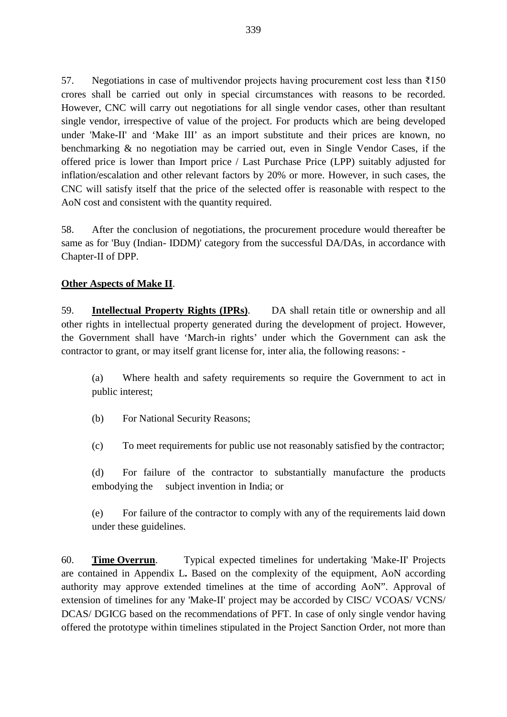57. Negotiations in case of multivendor projects having procurement cost less than ₹150 crores shall be carried out only in special circumstances with reasons to be recorded. However, CNC will carry out negotiations for all single vendor cases, other than resultant single vendor, irrespective of value of the project. For products which are being developed under 'Make-II' and 'Make III' as an import substitute and their prices are known, no benchmarking & no negotiation may be carried out, even in Single Vendor Cases, if the offered price is lower than Import price / Last Purchase Price (LPP) suitably adjusted for inflation/escalation and other relevant factors by 20% or more. However, in such cases, the CNC will satisfy itself that the price of the selected offer is reasonable with respect to the AoN cost and consistent with the quantity required.

58. After the conclusion of negotiations, the procurement procedure would thereafter be same as for 'Buy (Indian- IDDM)' category from the successful DA/DAs, in accordance with Chapter-II of DPP.

### **Other Aspects of Make II**.

59. **Intellectual Property Rights (IPRs)**. DA shall retain title or ownership and all other rights in intellectual property generated during the development of project. However, the Government shall have 'March-in rights' under which the Government can ask the contractor to grant, or may itself grant license for, inter alia, the following reasons: -

(a) Where health and safety requirements so require the Government to act in public interest;

(b) For National Security Reasons;

(c) To meet requirements for public use not reasonably satisfied by the contractor;

(d) For failure of the contractor to substantially manufacture the products embodying the subject invention in India; or

(e) For failure of the contractor to comply with any of the requirements laid down under these guidelines.

60. **Time Overrun**. Typical expected timelines for undertaking 'Make-II' Projects are contained in Appendix L**.** Based on the complexity of the equipment, AoN according authority may approve extended timelines at the time of according AoN". Approval of extension of timelines for any 'Make-II' project may be accorded by CISC/ VCOAS/ VCNS/ DCAS/ DGICG based on the recommendations of PFT. In case of only single vendor having offered the prototype within timelines stipulated in the Project Sanction Order, not more than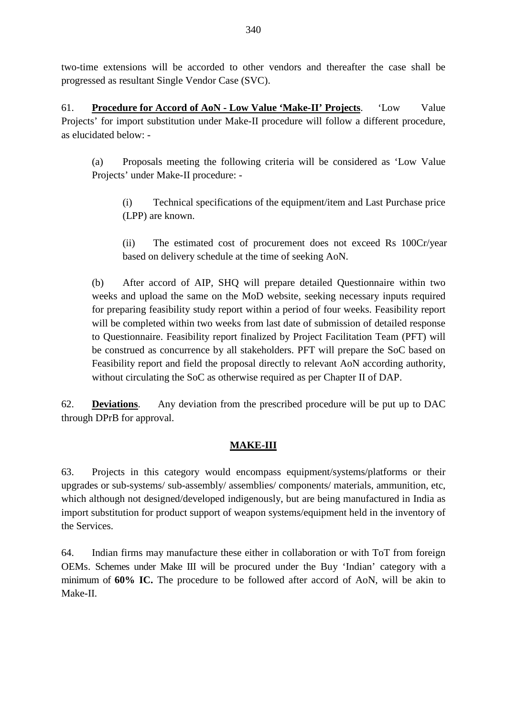two-time extensions will be accorded to other vendors and thereafter the case shall be progressed as resultant Single Vendor Case (SVC).

61. **Procedure for Accord of AoN - Low Value 'Make-II' Projects**. 'Low Value Projects' for import substitution under Make-II procedure will follow a different procedure, as elucidated below: -

(a) Proposals meeting the following criteria will be considered as 'Low Value Projects' under Make-II procedure: -

(i) Technical specifications of the equipment/item and Last Purchase price (LPP) are known.

(ii) The estimated cost of procurement does not exceed Rs 100Cr/year based on delivery schedule at the time of seeking AoN.

(b) After accord of AIP, SHQ will prepare detailed Questionnaire within two weeks and upload the same on the MoD website, seeking necessary inputs required for preparing feasibility study report within a period of four weeks. Feasibility report will be completed within two weeks from last date of submission of detailed response to Questionnaire. Feasibility report finalized by Project Facilitation Team (PFT) will be construed as concurrence by all stakeholders. PFT will prepare the SoC based on Feasibility report and field the proposal directly to relevant AoN according authority, without circulating the SoC as otherwise required as per Chapter II of DAP.

62. **Deviations**. Any deviation from the prescribed procedure will be put up to DAC through DPrB for approval.

## **MAKE-III**

63. Projects in this category would encompass equipment/systems/platforms or their upgrades or sub-systems/ sub-assembly/ assemblies/ components/ materials, ammunition, etc, which although not designed/developed indigenously, but are being manufactured in India as import substitution for product support of weapon systems/equipment held in the inventory of the Services.

64. Indian firms may manufacture these either in collaboration or with ToT from foreign OEMs. Schemes under Make III will be procured under the Buy 'Indian' category with a minimum of **60% IC.** The procedure to be followed after accord of AoN, will be akin to Make-II.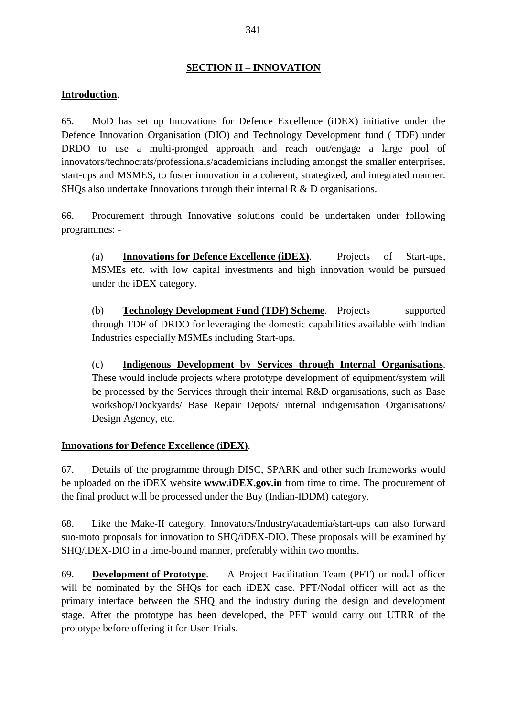## **SECTION II – INNOVATION**

### **Introduction**.

65. MoD has set up Innovations for Defence Excellence (iDEX) initiative under the Defence Innovation Organisation (DIO) and Technology Development fund ( TDF) under DRDO to use a multi-pronged approach and reach out/engage a large pool of innovators/technocrats/professionals/academicians including amongst the smaller enterprises, start-ups and MSMES, to foster innovation in a coherent, strategized, and integrated manner. SHQs also undertake Innovations through their internal R & D organisations.

66. Procurement through Innovative solutions could be undertaken under following programmes: -

(a) **Innovations for Defence Excellence (iDEX)**. Projects of Start-ups, MSMEs etc. with low capital investments and high innovation would be pursued under the iDEX category.

(b) **Technology Development Fund (TDF) Scheme**. Projects supported through TDF of DRDO for leveraging the domestic capabilities available with Indian Industries especially MSMEs including Start-ups.

(c) **Indigenous Development by Services through Internal Organisations**. These would include projects where prototype development of equipment/system will be processed by the Services through their internal R&D organisations, such as Base workshop/Dockyards/ Base Repair Depots/ internal indigenisation Organisations/ Design Agency, etc.

### **Innovations for Defence Excellence (iDEX)**.

67. Details of the programme through DISC, SPARK and other such frameworks would be uploaded on the iDEX website **[www.iDEX.gov.in](http://www.idex.gov.in/)** from time to time. The procurement of the final product will be processed under the Buy (Indian-IDDM) category.

68. Like the Make-II category, Innovators/Industry/academia/start-ups can also forward suo-moto proposals for innovation to SHQ/iDEX-DIO. These proposals will be examined by SHQ/iDEX-DIO in a time-bound manner, preferably within two months.

69. **Development of Prototype**. A Project Facilitation Team (PFT) or nodal officer will be nominated by the SHQs for each iDEX case. PFT/Nodal officer will act as the primary interface between the SHQ and the industry during the design and development stage. After the prototype has been developed, the PFT would carry out UTRR of the prototype before offering it for User Trials.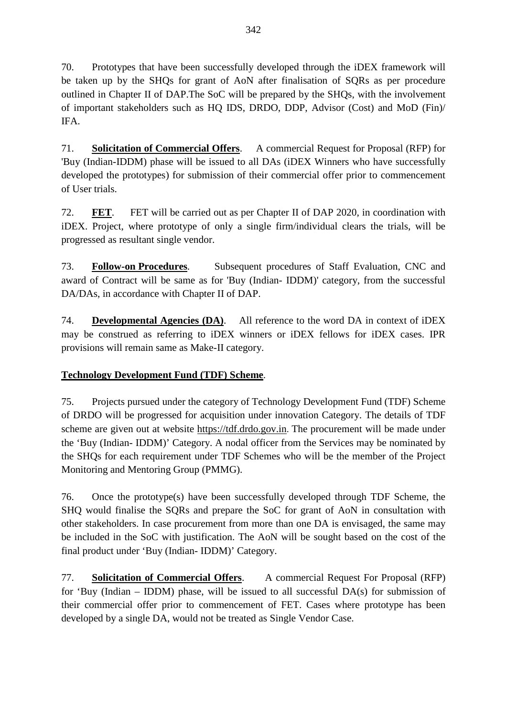70. Prototypes that have been successfully developed through the iDEX framework will be taken up by the SHQs for grant of AoN after finalisation of SQRs as per procedure outlined in Chapter II of DAP.The SoC will be prepared by the SHQs, with the involvement of important stakeholders such as HQ IDS, DRDO, DDP, Advisor (Cost) and MoD (Fin)/ IFA.

71. **Solicitation of Commercial Offers**. A commercial Request for Proposal (RFP) for 'Buy (Indian-IDDM) phase will be issued to all DAs (iDEX Winners who have successfully developed the prototypes) for submission of their commercial offer prior to commencement of User trials.

72. **FET**. FET will be carried out as per Chapter II of DAP 2020, in coordination with iDEX. Project, where prototype of only a single firm/individual clears the trials, will be progressed as resultant single vendor.

73. **Follow-on Procedures***.* Subsequent procedures of Staff Evaluation, CNC and award of Contract will be same as for 'Buy (Indian- IDDM)' category, from the successful DA/DAs, in accordance with Chapter II of DAP.

74. **Developmental Agencies (DA)**. All reference to the word DA in context of iDEX may be construed as referring to iDEX winners or iDEX fellows for iDEX cases. IPR provisions will remain same as Make-II category.

## **Technology Development Fund (TDF) Scheme**.

75. Projects pursued under the category of Technology Development Fund (TDF) Scheme of DRDO will be progressed for acquisition under innovation Category. The details of TDF scheme are given out at website [https://tdf.drdo.gov.in](https://tdf.drdo.gov.in/). The procurement will be made under the 'Buy (Indian- IDDM)' Category. A nodal officer from the Services may be nominated by the SHQs for each requirement under TDF Schemes who will be the member of the Project Monitoring and Mentoring Group (PMMG).

76. Once the prototype(s) have been successfully developed through TDF Scheme, the SHQ would finalise the SQRs and prepare the SoC for grant of AoN in consultation with other stakeholders. In case procurement from more than one DA is envisaged, the same may be included in the SoC with justification. The AoN will be sought based on the cost of the final product under 'Buy (Indian- IDDM)' Category.

77. **Solicitation of Commercial Offers**. A commercial Request For Proposal (RFP) for 'Buy (Indian – IDDM) phase, will be issued to all successful  $DA(s)$  for submission of their commercial offer prior to commencement of FET. Cases where prototype has been developed by a single DA, would not be treated as Single Vendor Case.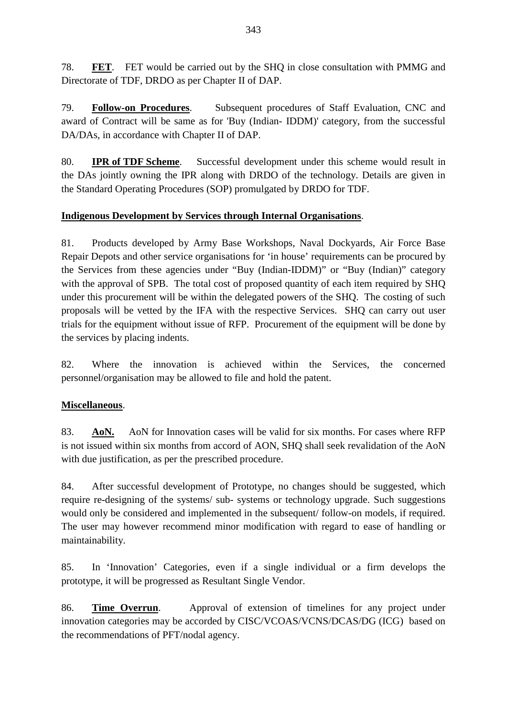78. **FET**. FET would be carried out by the SHQ in close consultation with PMMG and Directorate of TDF, DRDO as per Chapter II of DAP.

79. **Follow-on Procedures**. Subsequent procedures of Staff Evaluation, CNC and award of Contract will be same as for 'Buy (Indian- IDDM)' category, from the successful DA/DAs, in accordance with Chapter II of DAP.

80. **IPR of TDF Scheme**. Successful development under this scheme would result in the DAs jointly owning the IPR along with DRDO of the technology. Details are given in the Standard Operating Procedures (SOP) promulgated by DRDO for TDF.

## **Indigenous Development by Services through Internal Organisations**.

81. Products developed by Army Base Workshops, Naval Dockyards, Air Force Base Repair Depots and other service organisations for 'in house' requirements can be procured by the Services from these agencies under "Buy (Indian-IDDM)" or "Buy (Indian)" category with the approval of SPB. The total cost of proposed quantity of each item required by SHQ under this procurement will be within the delegated powers of the SHQ. The costing of such proposals will be vetted by the IFA with the respective Services. SHQ can carry out user trials for the equipment without issue of RFP. Procurement of the equipment will be done by the services by placing indents.

82. Where the innovation is achieved within the Services, the concerned personnel/organisation may be allowed to file and hold the patent.

## **Miscellaneous**.

83. **AoN.** AoN for Innovation cases will be valid for six months. For cases where RFP is not issued within six months from accord of AON, SHQ shall seek revalidation of the AoN with due justification, as per the prescribed procedure.

84. After successful development of Prototype, no changes should be suggested, which require re-designing of the systems/ sub- systems or technology upgrade. Such suggestions would only be considered and implemented in the subsequent/ follow-on models, if required. The user may however recommend minor modification with regard to ease of handling or maintainability.

85. In 'Innovation' Categories, even if a single individual or a firm develops the prototype, it will be progressed as Resultant Single Vendor.

86. **Time Overrun**. Approval of extension of timelines for any project under innovation categories may be accorded by CISC/VCOAS/VCNS/DCAS/DG (ICG) based on the recommendations of PFT/nodal agency.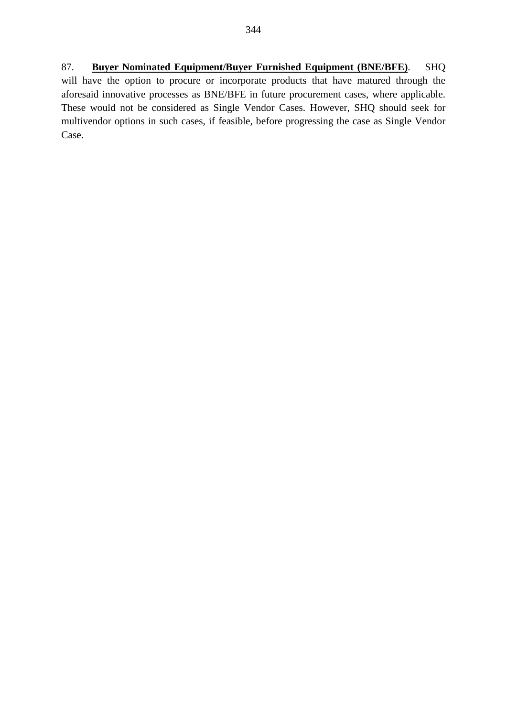87. **Buyer Nominated Equipment/Buyer Furnished Equipment (BNE/BFE)**. SHQ will have the option to procure or incorporate products that have matured through the aforesaid innovative processes as BNE/BFE in future procurement cases, where applicable. These would not be considered as Single Vendor Cases. However, SHQ should seek for multivendor options in such cases, if feasible, before progressing the case as Single Vendor Case.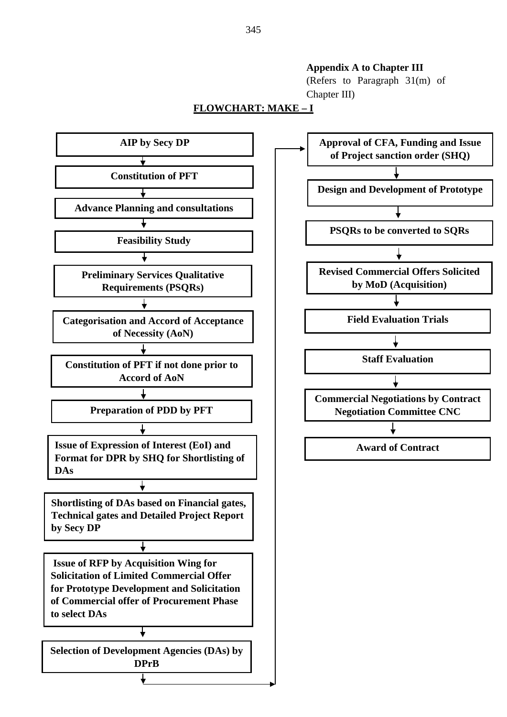#### **Appendix A to Chapter III**

(Refers to Paragraph 31(m) of Chapter III)

#### **FLOWCHART: MAKE – I**



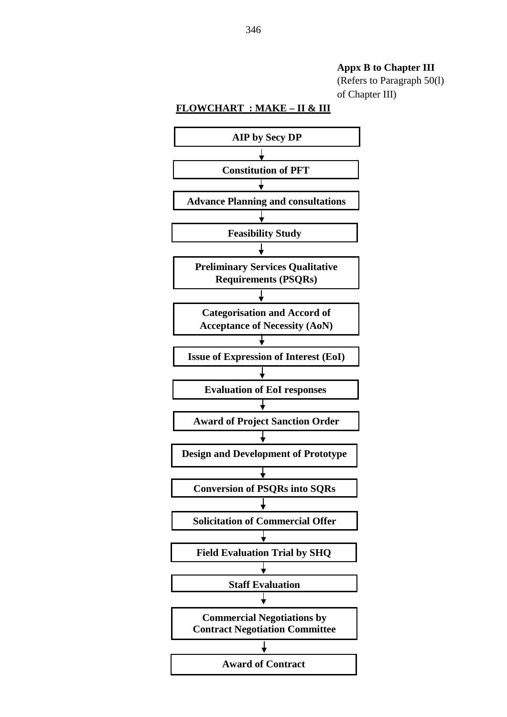**Appx B to Chapter III**

(Refers to Paragraph 50(l) of Chapter III)

#### **FLOWCHART : MAKE – II & III**

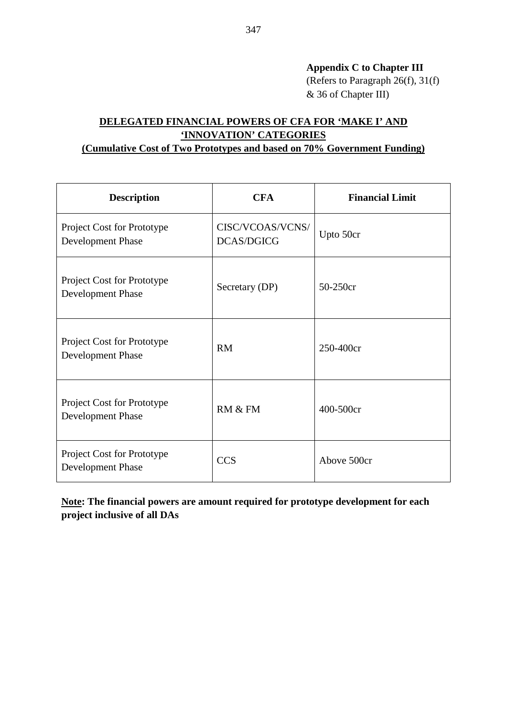**Appendix C to Chapter III**  (Refers to Paragraph 26(f), 31(f) & 36 of Chapter III)

## **DELEGATED FINANCIAL POWERS OF CFA FOR 'MAKE I' AND 'INNOVATION' CATEGORIES (Cumulative Cost of Two Prototypes and based on 70% Government Funding)**

# **Description CFA Financial Limit** Project Cost for Prototype Development Phase CISC/VCOAS/VCNS/ DCAS/DGICG Upto 50cr Project Cost for Prototype Project Cost for Frototype<br>
Secretary (DP) 50-250cr<br>
Secretary (DP) 50-250cr Project Cost for Prototype Project Cost for Frototype<br>
RM 250-400cr Project Cost for Prototype Project Cost for Frototype<br>Development Phase RM & FM 400-500cr Project Cost for Prototype Project Cost for Frototype<br>Development Phase CCS Above 500cr

**Note: The financial powers are amount required for prototype development for each project inclusive of all DAs**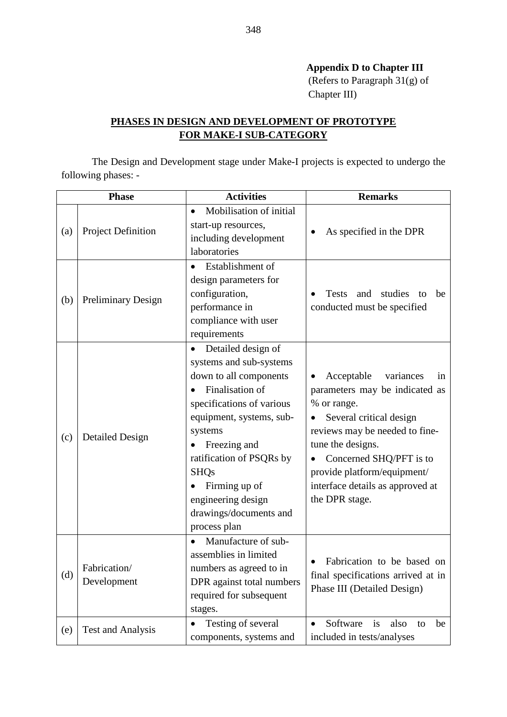## **Appendix D to Chapter III**

(Refers to Paragraph 31(g) of Chapter III)

## **PHASES IN DESIGN AND DEVELOPMENT OF PROTOTYPE FOR MAKE-I SUB-CATEGORY**

The Design and Development stage under Make-I projects is expected to undergo the following phases: -

| <b>Phase</b> |                             | <b>Activities</b>                                                                                                                                                                                                                                                                                          | <b>Remarks</b>                                                                                                                                                                                                                                                                                          |
|--------------|-----------------------------|------------------------------------------------------------------------------------------------------------------------------------------------------------------------------------------------------------------------------------------------------------------------------------------------------------|---------------------------------------------------------------------------------------------------------------------------------------------------------------------------------------------------------------------------------------------------------------------------------------------------------|
| (a)          | Project Definition          | Mobilisation of initial<br>$\bullet$<br>start-up resources,<br>including development<br>laboratories                                                                                                                                                                                                       | As specified in the DPR                                                                                                                                                                                                                                                                                 |
| (b)          | <b>Preliminary Design</b>   | Establishment of<br>design parameters for<br>configuration,<br>performance in<br>compliance with user<br>requirements                                                                                                                                                                                      | <b>Tests</b><br>studies<br>and<br>to<br>be<br>conducted must be specified                                                                                                                                                                                                                               |
| (c)          | <b>Detailed Design</b>      | Detailed design of<br>systems and sub-systems<br>down to all components<br>Finalisation of<br>specifications of various<br>equipment, systems, sub-<br>systems<br>Freezing and<br>ratification of PSQRs by<br><b>SHQs</b><br>Firming up of<br>engineering design<br>drawings/documents and<br>process plan | Acceptable<br>variances<br>in<br>٠<br>parameters may be indicated as<br>% or range.<br>Several critical design<br>$\bullet$<br>reviews may be needed to fine-<br>tune the designs.<br>Concerned SHQ/PFT is to<br>٠<br>provide platform/equipment/<br>interface details as approved at<br>the DPR stage. |
| (d)          | Fabrication/<br>Development | Manufacture of sub-<br>$\bullet$<br>assemblies in limited<br>numbers as agreed to in<br>DPR against total numbers<br>required for subsequent<br>stages.                                                                                                                                                    | Fabrication to be based on<br>final specifications arrived at in<br>Phase III (Detailed Design)                                                                                                                                                                                                         |
| (e)          | <b>Test and Analysis</b>    | Testing of several<br>components, systems and                                                                                                                                                                                                                                                              | Software<br>is<br>also<br>be<br>to<br>included in tests/analyses                                                                                                                                                                                                                                        |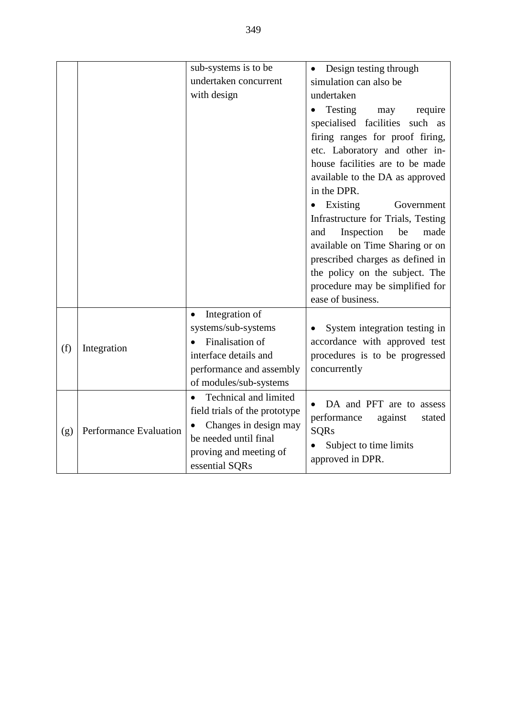|     |                        | sub-systems is to be<br>undertaken concurrent<br>with design                                                                                                      | Design testing through<br>$\bullet$<br>simulation can also be<br>undertaken                                                                                                                                                                                                                                                                                                                                                                                                                              |
|-----|------------------------|-------------------------------------------------------------------------------------------------------------------------------------------------------------------|----------------------------------------------------------------------------------------------------------------------------------------------------------------------------------------------------------------------------------------------------------------------------------------------------------------------------------------------------------------------------------------------------------------------------------------------------------------------------------------------------------|
|     |                        |                                                                                                                                                                   | Testing<br>may<br>require<br>specialised facilities<br>such as<br>firing ranges for proof firing,<br>etc. Laboratory and other in-<br>house facilities are to be made<br>available to the DA as approved<br>in the DPR.<br>Existing<br>Government<br>$\bullet$<br>Infrastructure for Trials, Testing<br>Inspection<br>be<br>made<br>and<br>available on Time Sharing or on<br>prescribed charges as defined in<br>the policy on the subject. The<br>procedure may be simplified for<br>ease of business. |
| (f) | Integration            | Integration of<br>$\bullet$<br>systems/sub-systems<br>Finalisation of<br>interface details and<br>performance and assembly<br>of modules/sub-systems              | System integration testing in<br>accordance with approved test<br>procedures is to be progressed<br>concurrently                                                                                                                                                                                                                                                                                                                                                                                         |
| (g) | Performance Evaluation | Technical and limited<br>$\bullet$<br>field trials of the prototype<br>Changes in design may<br>be needed until final<br>proving and meeting of<br>essential SQRs | DA and PFT are to assess<br>performance<br>against<br>stated<br><b>SQRs</b><br>Subject to time limits<br>$\bullet$<br>approved in DPR.                                                                                                                                                                                                                                                                                                                                                                   |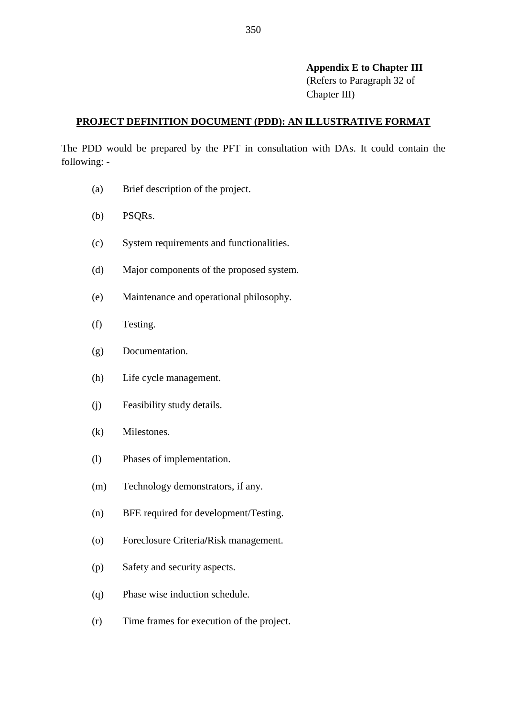#### **Appendix E to Chapter III**

(Refers to Paragraph 32 of Chapter III)

#### **PROJECT DEFINITION DOCUMENT (PDD): AN ILLUSTRATIVE FORMAT**

The PDD would be prepared by the PFT in consultation with DAs. It could contain the following: -

- (a) Brief description of the project.
- (b) PSQRs.
- (c) System requirements and functionalities.
- (d) Major components of the proposed system.
- (e) Maintenance and operational philosophy.
- (f) Testing.
- (g) Documentation.
- (h) Life cycle management.
- (j) Feasibility study details.
- (k) Milestones.
- (l) Phases of implementation.
- (m) Technology demonstrators, if any.
- (n) BFE required for development/Testing.
- (o) Foreclosure Criteria**/**Risk management.
- (p) Safety and security aspects.
- (q) Phase wise induction schedule.
- (r) Time frames for execution of the project.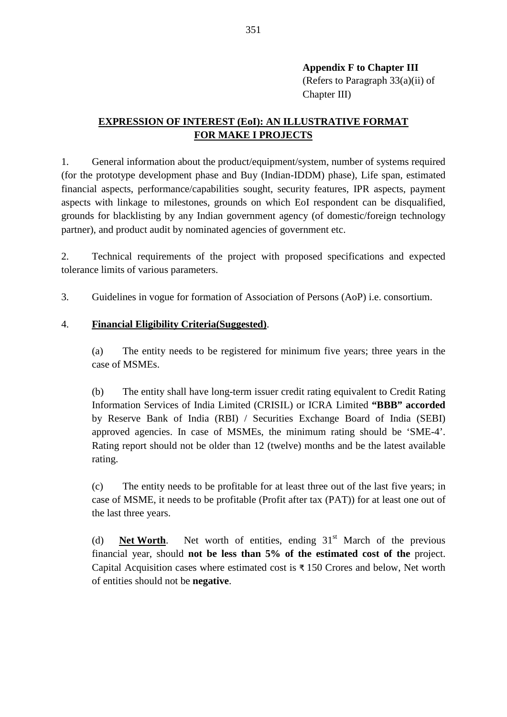Chapter III)

## **EXPRESSION OF INTEREST (EoI): AN ILLUSTRATIVE FORMAT FOR MAKE I PROJECTS**

1. General information about the product/equipment/system, number of systems required (for the prototype development phase and Buy (Indian-IDDM) phase), Life span, estimated financial aspects, performance/capabilities sought, security features, IPR aspects, payment aspects with linkage to milestones, grounds on which EoI respondent can be disqualified, grounds for blacklisting by any Indian government agency (of domestic/foreign technology partner), and product audit by nominated agencies of government etc.

2. Technical requirements of the project with proposed specifications and expected tolerance limits of various parameters.

3. Guidelines in vogue for formation of Association of Persons (AoP) i.e. consortium.

## 4. **Financial Eligibility Criteria(Suggested)**.

(a) The entity needs to be registered for minimum five years; three years in the case of MSMEs.

(b) The entity shall have long-term issuer credit rating equivalent to Credit Rating Information Services of India Limited (CRISIL) or ICRA Limited **"BBB" accorded** by Reserve Bank of India (RBI) / Securities Exchange Board of India (SEBI) approved agencies. In case of MSMEs, the minimum rating should be 'SME-4'. Rating report should not be older than 12 (twelve) months and be the latest available rating.

(c) The entity needs to be profitable for at least three out of the last five years; in case of MSME, it needs to be profitable (Profit after tax (PAT)) for at least one out of the last three years.

(d) **Net Worth**. Net worth of entities, ending  $31<sup>st</sup>$  March of the previous financial year, should **not be less than 5% of the estimated cost of the** project. Capital Acquisition cases where estimated cost is ₹ 150 Crores and below, Net worth of entities should not be **negative**.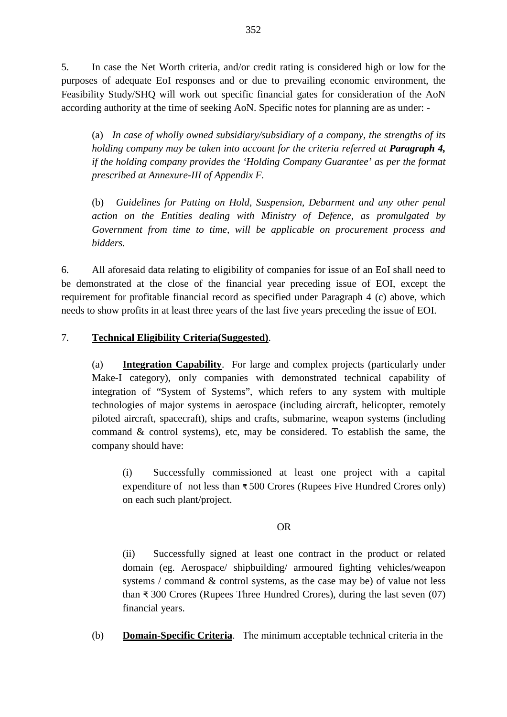5. In case the Net Worth criteria, and/or credit rating is considered high or low for the purposes of adequate EoI responses and or due to prevailing economic environment, the Feasibility Study/SHQ will work out specific financial gates for consideration of the AoN according authority at the time of seeking AoN. Specific notes for planning are as under: -

(a) *In case of wholly owned subsidiary/subsidiary of a company, the strengths of its holding company may be taken into account for the criteria referred at Paragraph 4, if the holding company provides the 'Holding Company Guarantee' as per the format prescribed at Annexure-III of Appendix F.* 

(b) *Guidelines for Putting on Hold, Suspension, Debarment and any other penal action on the Entities dealing with Ministry of Defence, as promulgated by Government from time to time, will be applicable on procurement process and bidders.* 

6. All aforesaid data relating to eligibility of companies for issue of an EoI shall need to be demonstrated at the close of the financial year preceding issue of EOI, except the requirement for profitable financial record as specified under Paragraph 4 (c) above, which needs to show profits in at least three years of the last five years preceding the issue of EOI.

### 7. **Technical Eligibility Criteria(Suggested)**.

(a) **Integration Capability**. For large and complex projects (particularly under Make-I category), only companies with demonstrated technical capability of integration of "System of Systems", which refers to any system with multiple technologies of major systems in aerospace (including aircraft, helicopter, remotely piloted aircraft, spacecraft), ships and crafts, submarine, weapon systems (including command & control systems), etc, may be considered. To establish the same, the company should have:

(i) Successfully commissioned at least one project with a capital expenditure of not less than ₹ 500 Crores (Rupees Five Hundred Crores only) on each such plant/project.

#### OR

(ii) Successfully signed at least one contract in the product or related domain (eg. Aerospace/ shipbuilding/ armoured fighting vehicles/weapon systems / command & control systems, as the case may be) of value not less than ₹ 300 Crores (Rupees Three Hundred Crores), during the last seven (07) financial years.

(b) **Domain-Specific Criteria**. The minimum acceptable technical criteria in the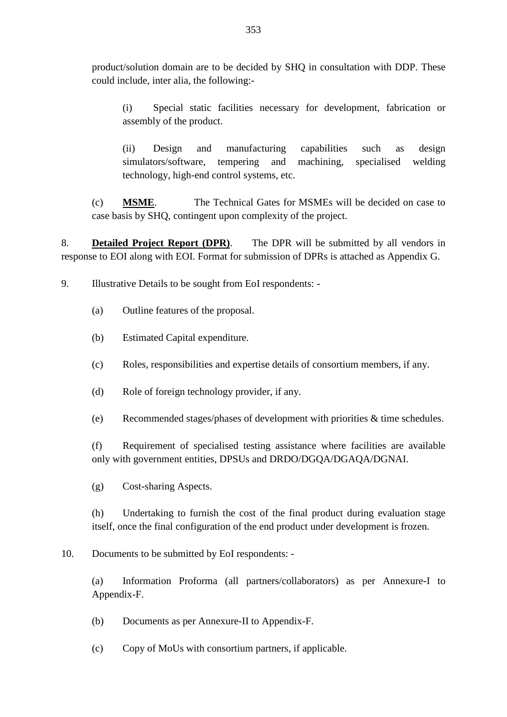product/solution domain are to be decided by SHQ in consultation with DDP. These could include, inter alia, the following:-

(i) Special static facilities necessary for development, fabrication or assembly of the product.

(ii) Design and manufacturing capabilities such as design simulators/software, tempering and machining, specialised welding technology, high-end control systems, etc.

(c) **MSME**. The Technical Gates for MSMEs will be decided on case to case basis by SHQ, contingent upon complexity of the project.

8. **Detailed Project Report (DPR)**. The DPR will be submitted by all vendors in response to EOI along with EOI. Format for submission of DPRs is attached as Appendix G.

9. Illustrative Details to be sought from EoI respondents: -

- (a) Outline features of the proposal.
- (b) Estimated Capital expenditure.
- (c) Roles, responsibilities and expertise details of consortium members, if any.
- (d) Role of foreign technology provider, if any.
- (e) Recommended stages/phases of development with priorities & time schedules.

(f) Requirement of specialised testing assistance where facilities are available only with government entities, DPSUs and DRDO/DGQA/DGAQA/DGNAI.

(g) Cost-sharing Aspects.

(h) Undertaking to furnish the cost of the final product during evaluation stage itself, once the final configuration of the end product under development is frozen.

10. Documents to be submitted by EoI respondents: -

(a) Information Proforma (all partners/collaborators) as per Annexure-I to Appendix-F.

- (b) Documents as per Annexure-II to Appendix-F.
- (c) Copy of MoUs with consortium partners, if applicable.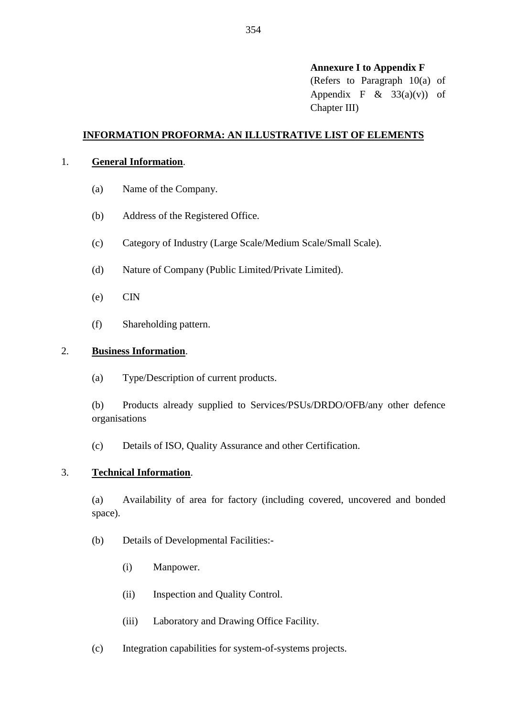#### **Annexure I to Appendix F**

(Refers to Paragraph 10(a) of Appendix F  $\&$  33(a)(v)) of Chapter III)

#### **INFORMATION PROFORMA: AN ILLUSTRATIVE LIST OF ELEMENTS**

#### 1. **General Information**.

- (a) Name of the Company.
- (b) Address of the Registered Office.
- (c) Category of Industry (Large Scale/Medium Scale/Small Scale).
- (d) Nature of Company (Public Limited/Private Limited).
- (e) CIN
- (f) Shareholding pattern.

#### 2. **Business Information**.

(a) Type/Description of current products.

(b) Products already supplied to Services/PSUs/DRDO/OFB/any other defence organisations

(c) Details of ISO, Quality Assurance and other Certification.

#### 3. **Technical Information**.

(a) Availability of area for factory (including covered, uncovered and bonded space).

- (b) Details of Developmental Facilities:-
	- (i) Manpower.
	- (ii) Inspection and Quality Control.
	- (iii) Laboratory and Drawing Office Facility.
- (c) Integration capabilities for system-of-systems projects.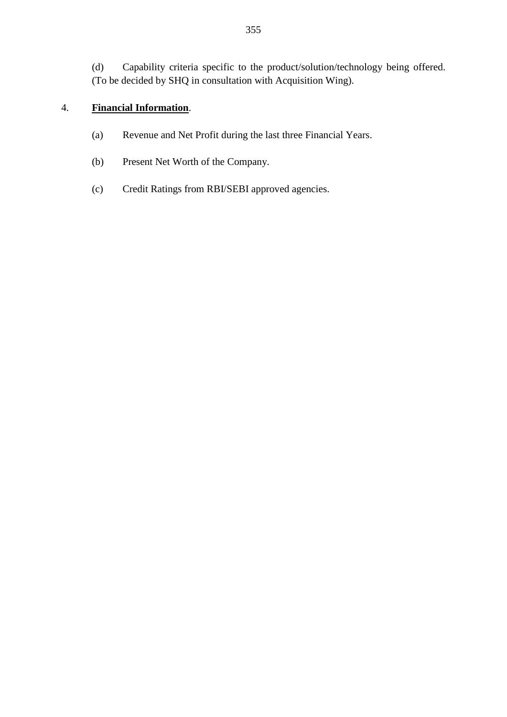(d) Capability criteria specific to the product/solution/technology being offered. (To be decided by SHQ in consultation with Acquisition Wing).

## 4. **Financial Information**.

- (a) Revenue and Net Profit during the last three Financial Years.
- (b) Present Net Worth of the Company.
- (c) Credit Ratings from RBI/SEBI approved agencies.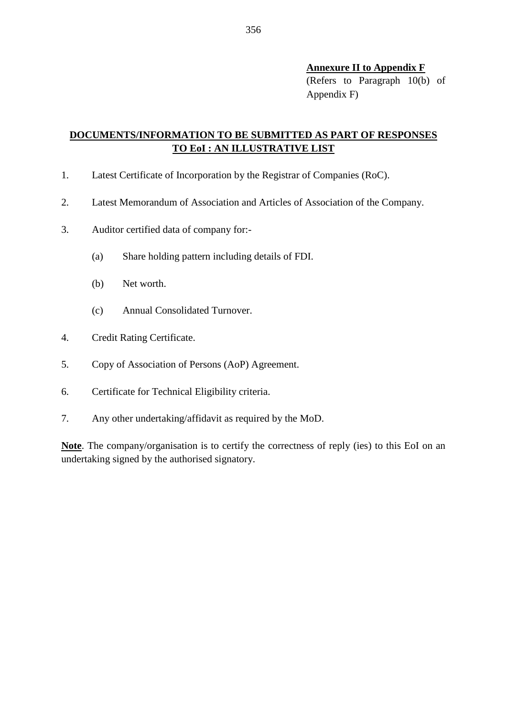#### **Annexure II to Appendix F**

(Refers to Paragraph 10(b) of Appendix F)

## **DOCUMENTS/INFORMATION TO BE SUBMITTED AS PART OF RESPONSES TO EoI : AN ILLUSTRATIVE LIST**

- 1. Latest Certificate of Incorporation by the Registrar of Companies (RoC).
- 2. Latest Memorandum of Association and Articles of Association of the Company.
- 3. Auditor certified data of company for:-
	- (a) Share holding pattern including details of FDI.
	- (b) Net worth.
	- (c) Annual Consolidated Turnover.
- 4. Credit Rating Certificate.
- 5. Copy of Association of Persons (AoP) Agreement.
- 6. Certificate for Technical Eligibility criteria.
- 7. Any other undertaking/affidavit as required by the MoD.

**Note**. The company/organisation is to certify the correctness of reply (ies) to this EoI on an undertaking signed by the authorised signatory.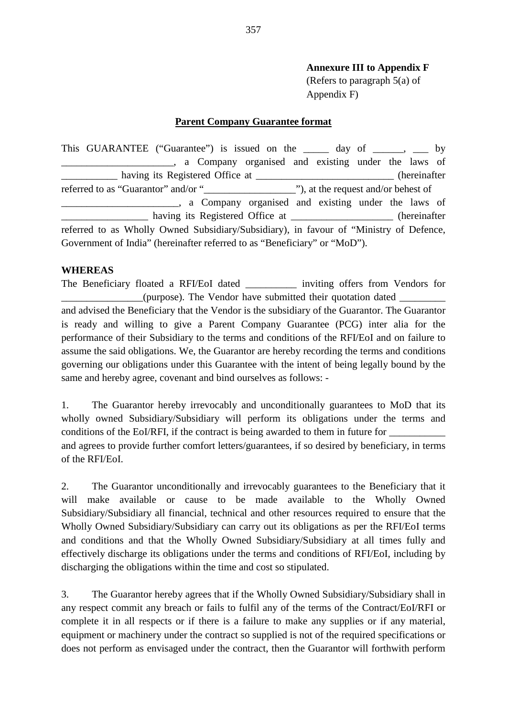## **Annexure III to Appendix F**

(Refers to paragraph 5(a) of Appendix F)

#### **Parent Company Guarantee format**

This GUARANTEE ("Guarantee") is issued on the \_\_\_\_\_ day of \_\_\_\_\_, \_\_\_ by **Example 2.1** a Company organised and existing under the laws of having its Registered Office at \_\_\_\_\_\_\_\_\_\_\_\_\_\_\_\_\_\_\_\_\_\_\_\_\_\_\_\_\_\_(hereinafter referred to as "Guarantor" and/or "\_\_\_\_\_\_\_\_\_\_\_\_\_\_\_\_\_\_"), at the request and/or behest of \_\_\_\_\_\_\_\_\_\_\_\_\_\_\_\_\_\_\_\_\_\_\_, a Company organised and existing under the laws of having its Registered Office at (hereinafter referred to as Wholly Owned Subsidiary/Subsidiary), in favour of "Ministry of Defence, Government of India" (hereinafter referred to as "Beneficiary" or "MoD").

#### **WHEREAS**

The Beneficiary floated a RFI/EoI dated inviting offers from Vendors for \_\_\_\_\_\_\_\_\_\_\_\_\_\_\_\_(purpose). The Vendor have submitted their quotation dated \_\_\_\_\_\_\_\_\_ and advised the Beneficiary that the Vendor is the subsidiary of the Guarantor. The Guarantor is ready and willing to give a Parent Company Guarantee (PCG) inter alia for the performance of their Subsidiary to the terms and conditions of the RFI/EoI and on failure to assume the said obligations. We, the Guarantor are hereby recording the terms and conditions governing our obligations under this Guarantee with the intent of being legally bound by the same and hereby agree, covenant and bind ourselves as follows: -

1. The Guarantor hereby irrevocably and unconditionally guarantees to MoD that its wholly owned Subsidiary/Subsidiary will perform its obligations under the terms and conditions of the EoI/RFI, if the contract is being awarded to them in future for \_\_\_\_\_\_\_\_\_\_\_ and agrees to provide further comfort letters/guarantees, if so desired by beneficiary, in terms of the RFI/EoI.

2. The Guarantor unconditionally and irrevocably guarantees to the Beneficiary that it will make available or cause to be made available to the Wholly Owned Subsidiary/Subsidiary all financial, technical and other resources required to ensure that the Wholly Owned Subsidiary/Subsidiary can carry out its obligations as per the RFI/EoI terms and conditions and that the Wholly Owned Subsidiary/Subsidiary at all times fully and effectively discharge its obligations under the terms and conditions of RFI/EoI, including by discharging the obligations within the time and cost so stipulated.

3. The Guarantor hereby agrees that if the Wholly Owned Subsidiary/Subsidiary shall in any respect commit any breach or fails to fulfil any of the terms of the Contract/EoI/RFI or complete it in all respects or if there is a failure to make any supplies or if any material, equipment or machinery under the contract so supplied is not of the required specifications or does not perform as envisaged under the contract, then the Guarantor will forthwith perform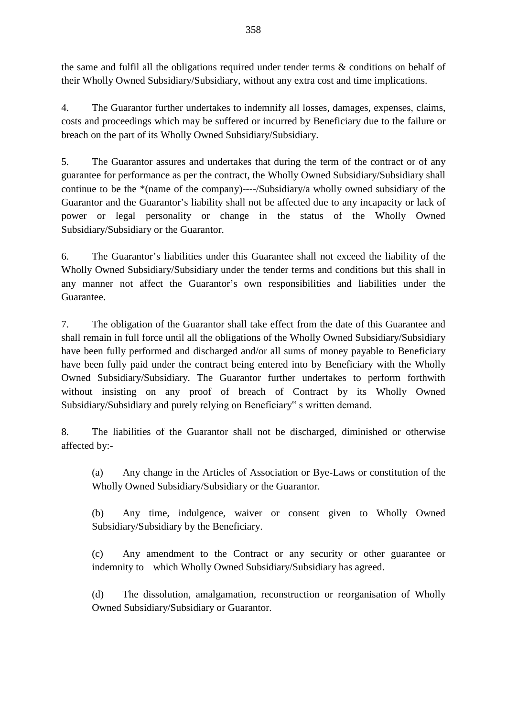the same and fulfil all the obligations required under tender terms & conditions on behalf of their Wholly Owned Subsidiary/Subsidiary, without any extra cost and time implications.

4. The Guarantor further undertakes to indemnify all losses, damages, expenses, claims, costs and proceedings which may be suffered or incurred by Beneficiary due to the failure or breach on the part of its Wholly Owned Subsidiary/Subsidiary.

5. The Guarantor assures and undertakes that during the term of the contract or of any guarantee for performance as per the contract, the Wholly Owned Subsidiary/Subsidiary shall continue to be the \*(name of the company)----/Subsidiary/a wholly owned subsidiary of the Guarantor and the Guarantor's liability shall not be affected due to any incapacity or lack of power or legal personality or change in the status of the Wholly Owned Subsidiary/Subsidiary or the Guarantor.

6. The Guarantor's liabilities under this Guarantee shall not exceed the liability of the Wholly Owned Subsidiary/Subsidiary under the tender terms and conditions but this shall in any manner not affect the Guarantor's own responsibilities and liabilities under the Guarantee.

7. The obligation of the Guarantor shall take effect from the date of this Guarantee and shall remain in full force until all the obligations of the Wholly Owned Subsidiary/Subsidiary have been fully performed and discharged and/or all sums of money payable to Beneficiary have been fully paid under the contract being entered into by Beneficiary with the Wholly Owned Subsidiary/Subsidiary. The Guarantor further undertakes to perform forthwith without insisting on any proof of breach of Contract by its Wholly Owned Subsidiary/Subsidiary and purely relying on Beneficiary" s written demand.

8. The liabilities of the Guarantor shall not be discharged, diminished or otherwise affected by:-

(a) Any change in the Articles of Association or Bye-Laws or constitution of the Wholly Owned Subsidiary/Subsidiary or the Guarantor.

(b) Any time, indulgence, waiver or consent given to Wholly Owned Subsidiary/Subsidiary by the Beneficiary.

(c) Any amendment to the Contract or any security or other guarantee or indemnity to which Wholly Owned Subsidiary/Subsidiary has agreed.

(d) The dissolution, amalgamation, reconstruction or reorganisation of Wholly Owned Subsidiary/Subsidiary or Guarantor.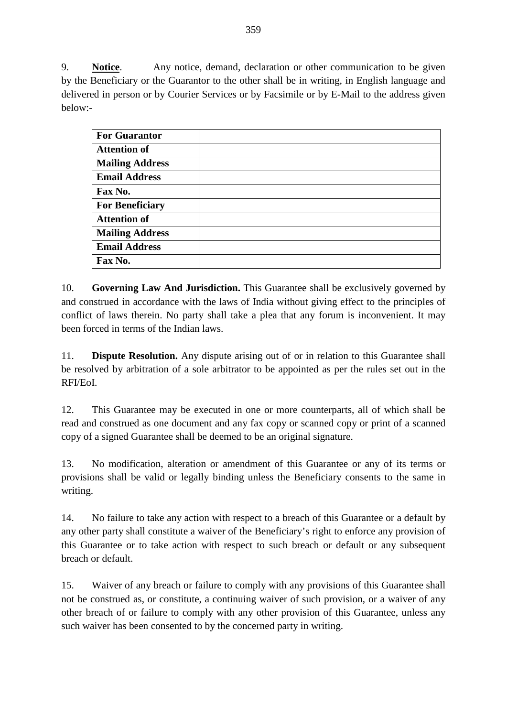9. **Notice**. Any notice, demand, declaration or other communication to be given by the Beneficiary or the Guarantor to the other shall be in writing, in English language and delivered in person or by Courier Services or by Facsimile or by E-Mail to the address given below:-

| <b>For Guarantor</b>   |  |
|------------------------|--|
| <b>Attention of</b>    |  |
| <b>Mailing Address</b> |  |
| <b>Email Address</b>   |  |
| Fax No.                |  |
| <b>For Beneficiary</b> |  |
| <b>Attention of</b>    |  |
| <b>Mailing Address</b> |  |
| <b>Email Address</b>   |  |
| Fax No.                |  |

10. **Governing Law And Jurisdiction.** This Guarantee shall be exclusively governed by and construed in accordance with the laws of India without giving effect to the principles of conflict of laws therein. No party shall take a plea that any forum is inconvenient. It may been forced in terms of the Indian laws.

11. **Dispute Resolution.** Any dispute arising out of or in relation to this Guarantee shall be resolved by arbitration of a sole arbitrator to be appointed as per the rules set out in the RFI/EoI.

12. This Guarantee may be executed in one or more counterparts, all of which shall be read and construed as one document and any fax copy or scanned copy or print of a scanned copy of a signed Guarantee shall be deemed to be an original signature.

13. No modification, alteration or amendment of this Guarantee or any of its terms or provisions shall be valid or legally binding unless the Beneficiary consents to the same in writing.

14. No failure to take any action with respect to a breach of this Guarantee or a default by any other party shall constitute a waiver of the Beneficiary's right to enforce any provision of this Guarantee or to take action with respect to such breach or default or any subsequent breach or default.

15. Waiver of any breach or failure to comply with any provisions of this Guarantee shall not be construed as, or constitute, a continuing waiver of such provision, or a waiver of any other breach of or failure to comply with any other provision of this Guarantee, unless any such waiver has been consented to by the concerned party in writing.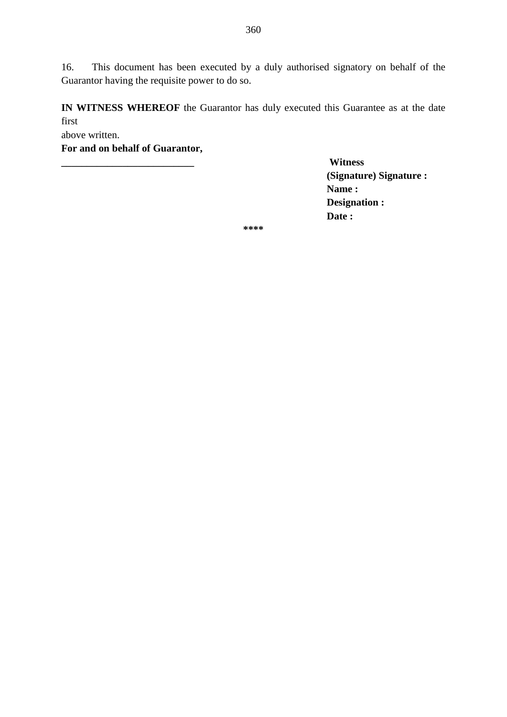16. This document has been executed by a duly authorised signatory on behalf of the Guarantor having the requisite power to do so.

**IN WITNESS WHEREOF** the Guarantor has duly executed this Guarantee as at the date first

above written.

**For and on behalf of Guarantor,**

**\_\_\_\_\_\_\_\_\_\_\_\_\_\_\_\_\_\_\_\_\_\_\_\_\_\_ Witness (Signature) Signature : Name : Designation : Date :**

**\*\*\*\***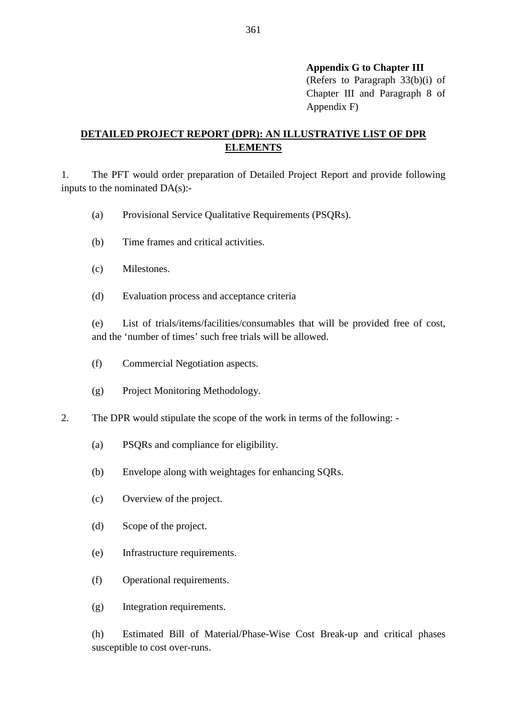**Appendix G to Chapter III** 

(Refers to Paragraph 33(b)(i) of Chapter III and Paragraph 8 of Appendix F)

## **DETAILED PROJECT REPORT (DPR): AN ILLUSTRATIVE LIST OF DPR ELEMENTS**

1. The PFT would order preparation of Detailed Project Report and provide following inputs to the nominated DA(s):-

- (a) Provisional Service Qualitative Requirements (PSQRs).
- (b) Time frames and critical activities.
- (c) Milestones.
- (d) Evaluation process and acceptance criteria

(e) List of trials/items/facilities/consumables that will be provided free of cost, and the 'number of times' such free trials will be allowed.

- (f) Commercial Negotiation aspects.
- (g) Project Monitoring Methodology.
- 2. The DPR would stipulate the scope of the work in terms of the following:
	- (a) PSQRs and compliance for eligibility.
	- (b) Envelope along with weightages for enhancing SQRs.
	- (c) Overview of the project.
	- (d) Scope of the project.
	- (e) Infrastructure requirements.
	- (f) Operational requirements.
	- (g) Integration requirements.

(h) Estimated Bill of Material/Phase-Wise Cost Break-up and critical phases susceptible to cost over-runs.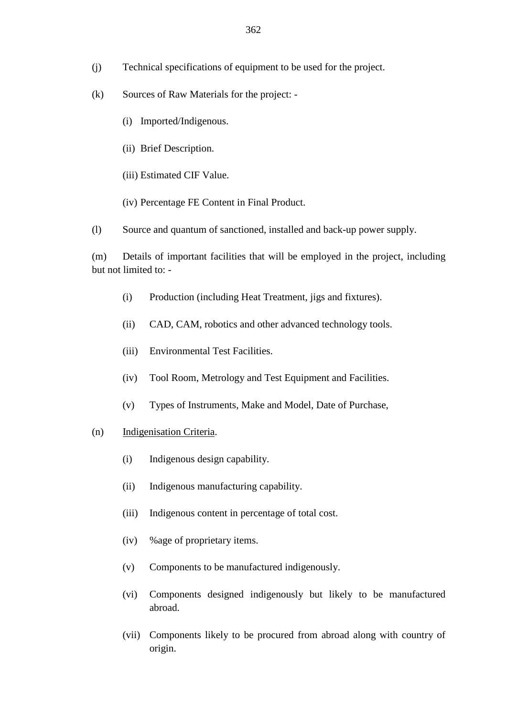- (j) Technical specifications of equipment to be used for the project.
- (k) Sources of Raw Materials for the project:
	- (i) Imported/Indigenous.
	- (ii) Brief Description.
	- (iii) Estimated CIF Value.
	- (iv) Percentage FE Content in Final Product.
- (l) Source and quantum of sanctioned, installed and back-up power supply.

(m) Details of important facilities that will be employed in the project, including but not limited to: -

- (i) Production (including Heat Treatment, jigs and fixtures).
- (ii) CAD, CAM, robotics and other advanced technology tools.
- (iii) Environmental Test Facilities.
- (iv) Tool Room, Metrology and Test Equipment and Facilities.
- (v) Types of Instruments, Make and Model, Date of Purchase,
- (n) Indigenisation Criteria.
	- (i) Indigenous design capability.
	- (ii) Indigenous manufacturing capability.
	- (iii) Indigenous content in percentage of total cost.
	- (iv) %age of proprietary items.
	- (v) Components to be manufactured indigenously.
	- (vi) Components designed indigenously but likely to be manufactured abroad.
	- (vii) Components likely to be procured from abroad along with country of origin.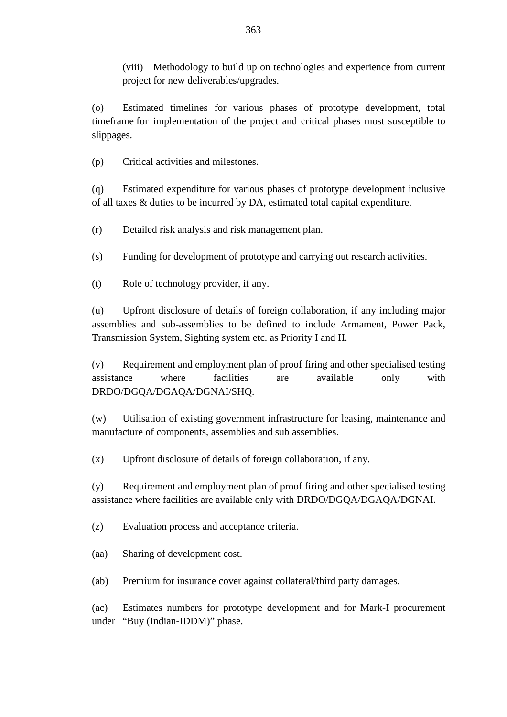(viii) Methodology to build up on technologies and experience from current project for new deliverables/upgrades.

(o) Estimated timelines for various phases of prototype development, total timeframe for implementation of the project and critical phases most susceptible to slippages.

(p) Critical activities and milestones.

(q) Estimated expenditure for various phases of prototype development inclusive of all taxes & duties to be incurred by DA, estimated total capital expenditure.

(r) Detailed risk analysis and risk management plan.

(s) Funding for development of prototype and carrying out research activities.

(t) Role of technology provider, if any.

(u) Upfront disclosure of details of foreign collaboration, if any including major assemblies and sub-assemblies to be defined to include Armament, Power Pack, Transmission System, Sighting system etc. as Priority I and II.

(v) Requirement and employment plan of proof firing and other specialised testing assistance where facilities are available only with DRDO/DGQA/DGAQA/DGNAI/SHQ.

(w) Utilisation of existing government infrastructure for leasing, maintenance and manufacture of components, assemblies and sub assemblies.

(x) Upfront disclosure of details of foreign collaboration, if any.

(y) Requirement and employment plan of proof firing and other specialised testing assistance where facilities are available only with DRDO/DGQA/DGAQA/DGNAI.

(z) Evaluation process and acceptance criteria.

(aa) Sharing of development cost.

(ab) Premium for insurance cover against collateral/third party damages.

(ac) Estimates numbers for prototype development and for Mark-I procurement under "Buy (Indian-IDDM)" phase.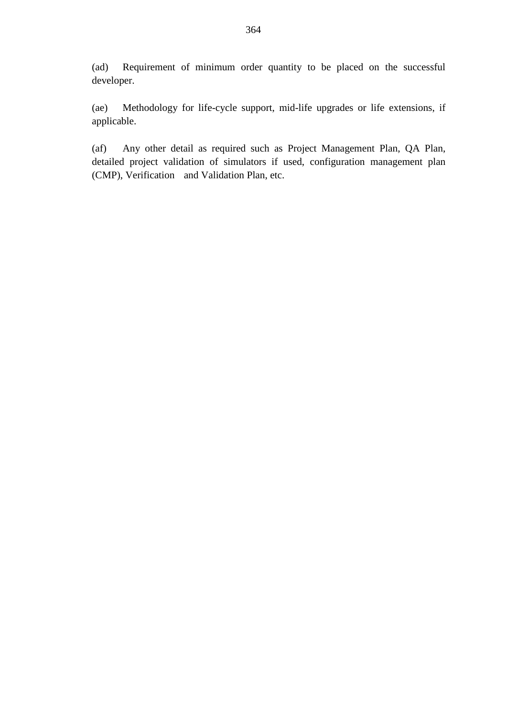(ad) Requirement of minimum order quantity to be placed on the successful developer.

(ae) Methodology for life-cycle support, mid-life upgrades or life extensions, if applicable.

(af) Any other detail as required such as Project Management Plan, QA Plan, detailed project validation of simulators if used, configuration management plan (CMP), Verification and Validation Plan, etc.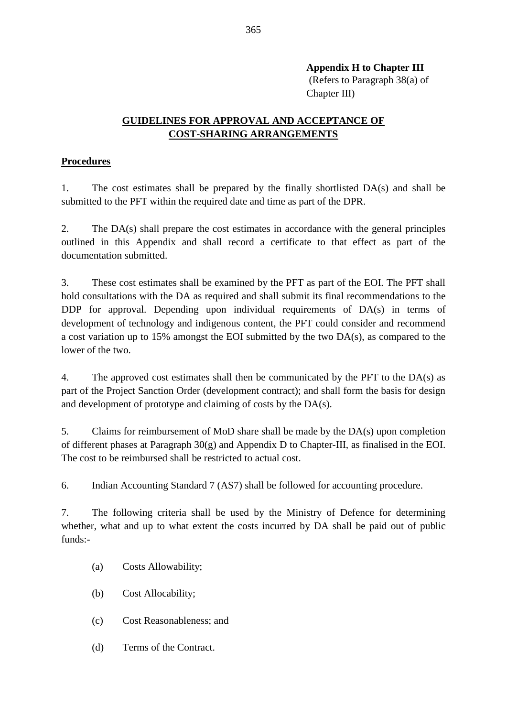**Appendix H to Chapter III**  (Refers to Paragraph 38(a) of

Chapter III)

## **GUIDELINES FOR APPROVAL AND ACCEPTANCE OF COST-SHARING ARRANGEMENTS**

## **Procedures**

1. The cost estimates shall be prepared by the finally shortlisted DA(s) and shall be submitted to the PFT within the required date and time as part of the DPR.

2. The DA(s) shall prepare the cost estimates in accordance with the general principles outlined in this Appendix and shall record a certificate to that effect as part of the documentation submitted.

3. These cost estimates shall be examined by the PFT as part of the EOI. The PFT shall hold consultations with the DA as required and shall submit its final recommendations to the DDP for approval. Depending upon individual requirements of DA(s) in terms of development of technology and indigenous content, the PFT could consider and recommend a cost variation up to 15% amongst the EOI submitted by the two DA(s), as compared to the lower of the two.

4. The approved cost estimates shall then be communicated by the PFT to the DA(s) as part of the Project Sanction Order (development contract); and shall form the basis for design and development of prototype and claiming of costs by the DA(s).

5. Claims for reimbursement of MoD share shall be made by the DA(s) upon completion of different phases at Paragraph 30(g) and Appendix D to Chapter-III, as finalised in the EOI. The cost to be reimbursed shall be restricted to actual cost.

6. Indian Accounting Standard 7 (AS7) shall be followed for accounting procedure.

7. The following criteria shall be used by the Ministry of Defence for determining whether, what and up to what extent the costs incurred by DA shall be paid out of public funds:-

- (a) Costs Allowability;
- (b) Cost Allocability;
- (c) Cost Reasonableness; and
- (d) Terms of the Contract.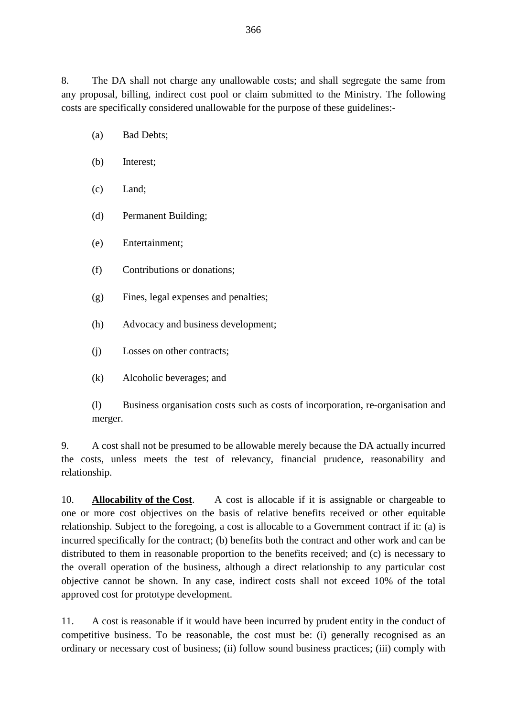8. The DA shall not charge any unallowable costs; and shall segregate the same from any proposal, billing, indirect cost pool or claim submitted to the Ministry. The following costs are specifically considered unallowable for the purpose of these guidelines:-

- (a) Bad Debts;
- (b) Interest;
- (c) Land;
- (d) Permanent Building;
- (e) Entertainment;
- (f) Contributions or donations;
- (g) Fines, legal expenses and penalties;
- (h) Advocacy and business development;
- (j) Losses on other contracts;
- (k) Alcoholic beverages; and

(l) Business organisation costs such as costs of incorporation, re-organisation and merger.

9. A cost shall not be presumed to be allowable merely because the DA actually incurred the costs, unless meets the test of relevancy, financial prudence, reasonability and relationship.

10. **Allocability of the Cost**. A cost is allocable if it is assignable or chargeable to one or more cost objectives on the basis of relative benefits received or other equitable relationship. Subject to the foregoing, a cost is allocable to a Government contract if it: (a) is incurred specifically for the contract; (b) benefits both the contract and other work and can be distributed to them in reasonable proportion to the benefits received; and (c) is necessary to the overall operation of the business, although a direct relationship to any particular cost objective cannot be shown. In any case, indirect costs shall not exceed 10% of the total approved cost for prototype development.

11. A cost is reasonable if it would have been incurred by prudent entity in the conduct of competitive business. To be reasonable, the cost must be: (i) generally recognised as an ordinary or necessary cost of business; (ii) follow sound business practices; (iii) comply with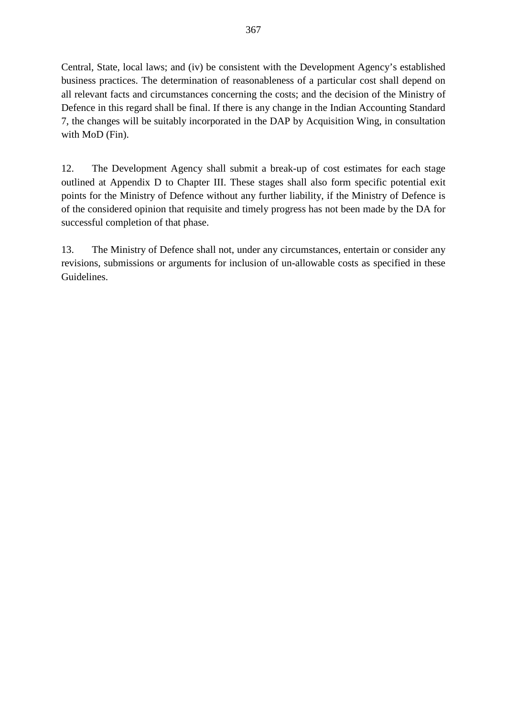Central, State, local laws; and (iv) be consistent with the Development Agency's established business practices. The determination of reasonableness of a particular cost shall depend on all relevant facts and circumstances concerning the costs; and the decision of the Ministry of Defence in this regard shall be final. If there is any change in the Indian Accounting Standard 7, the changes will be suitably incorporated in the DAP by Acquisition Wing, in consultation with MoD (Fin).

12. The Development Agency shall submit a break-up of cost estimates for each stage outlined at Appendix D to Chapter III. These stages shall also form specific potential exit points for the Ministry of Defence without any further liability, if the Ministry of Defence is of the considered opinion that requisite and timely progress has not been made by the DA for successful completion of that phase.

13. The Ministry of Defence shall not, under any circumstances, entertain or consider any revisions, submissions or arguments for inclusion of un-allowable costs as specified in these Guidelines.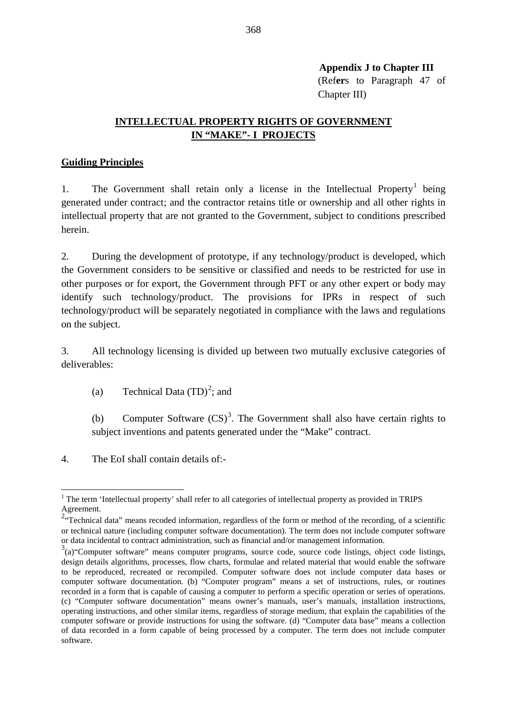**Appendix J to Chapter III** (Ref**er**s to Paragraph 47 of Chapter III)

## **INTELLECTUAL PROPERTY RIGHTS OF GOVERNMENT IN "MAKE"- I PROJECTS**

#### **Guiding Principles**

[1](#page-47-0). The Government shall retain only a license in the Intellectual Property<sup>1</sup> being generated under contract; and the contractor retains title or ownership and all other rights in intellectual property that are not granted to the Government, subject to conditions prescribed herein.

2. During the development of prototype, if any technology/product is developed, which the Government considers to be sensitive or classified and needs to be restricted for use in other purposes or for export, the Government through PFT or any other expert or body may identify such technology/product. The provisions for IPRs in respect of such technology/product will be separately negotiated in compliance with the laws and regulations on the subject.

3. All technology licensing is divided up between two mutually exclusive categories of deliverables:

(a) Technical Data  $(TD)^2$  $(TD)^2$ ; and

(b) Computer Software  $(CS)^3$  $(CS)^3$ . The Government shall also have certain rights to subject inventions and patents generated under the "Make" contract.

4. The EoI shall contain details of:-

<span id="page-47-0"></span><sup>&</sup>lt;sup>1</sup> The term 'Intellectual property' shall refer to all categories of intellectual property as provided in TRIPS Agreement.

<span id="page-47-1"></span><sup>&</sup>lt;sup>2.</sup> Technical data" means recoded information, regardless of the form or method of the recording, of a scientific or technical nature (including computer software documentation). The term does not include computer software or data incidental to contract administration, such as financial and/or management information.

<span id="page-47-2"></span> $3$ (a) "Computer software" means computer programs, source code, source code listings, object code listings, design details algorithms, processes, flow charts, formulae and related material that would enable the software to be reproduced, recreated or recompiled. Computer software does not include computer data bases or computer software documentation. (b) "Computer program" means a set of instructions, rules, or routines recorded in a form that is capable of causing a computer to perform a specific operation or series of operations. (c) "Computer software documentation" means owner's manuals, user's manuals, installation instructions, operating instructions, and other similar items, regardless of storage medium, that explain the capabilities of the computer software or provide instructions for using the software. (d) "Computer data base" means a collection of data recorded in a form capable of being processed by a computer. The term does not include computer software.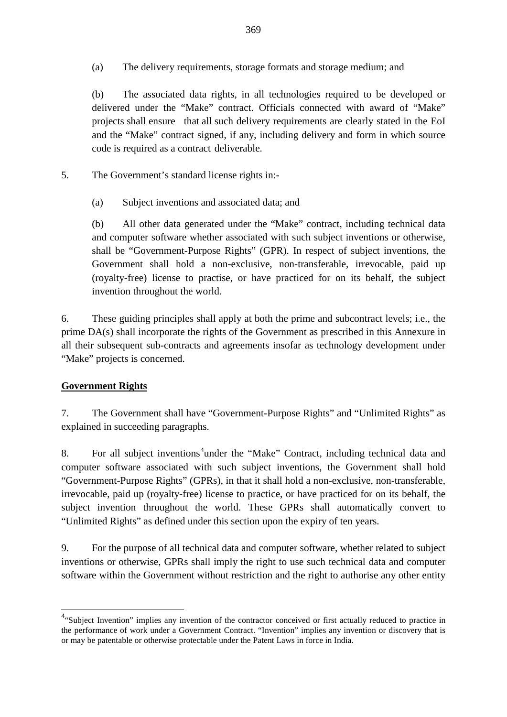(a) The delivery requirements, storage formats and storage medium; and

(b) The associated data rights, in all technologies required to be developed or delivered under the "Make" contract. Officials connected with award of "Make" projects shall ensure that all such delivery requirements are clearly stated in the EoI and the "Make" contract signed, if any, including delivery and form in which source code is required as a contract deliverable.

- 5. The Government's standard license rights in:-
	- (a) Subject inventions and associated data; and

(b) All other data generated under the "Make" contract, including technical data and computer software whether associated with such subject inventions or otherwise, shall be "Government-Purpose Rights" (GPR). In respect of subject inventions, the Government shall hold a non-exclusive, non-transferable, irrevocable, paid up (royalty-free) license to practise, or have practiced for on its behalf, the subject invention throughout the world.

6. These guiding principles shall apply at both the prime and subcontract levels; i.e., the prime DA(s) shall incorporate the rights of the Government as prescribed in this Annexure in all their subsequent sub-contracts and agreements insofar as technology development under "Make" projects is concerned.

## **Government Rights**

7. The Government shall have "Government-Purpose Rights" and "Unlimited Rights" as explained in succeeding paragraphs.

8. For all subject inventions<sup>[4](#page-48-0)</sup>under the "Make" Contract, including technical data and computer software associated with such subject inventions, the Government shall hold "Government-Purpose Rights" (GPRs), in that it shall hold a non-exclusive, non-transferable, irrevocable, paid up (royalty-free) license to practice, or have practiced for on its behalf, the subject invention throughout the world. These GPRs shall automatically convert to "Unlimited Rights" as defined under this section upon the expiry of ten years.

9. For the purpose of all technical data and computer software, whether related to subject inventions or otherwise, GPRs shall imply the right to use such technical data and computer software within the Government without restriction and the right to authorise any other entity

<span id="page-48-0"></span><sup>4&</sup>lt;br><sup>4</sup> Subject Invention" implies any invention of the contractor conceived or first actually reduced to practice in the performance of work under a Government Contract. "Invention" implies any invention or discovery that is or may be patentable or otherwise protectable under the Patent Laws in force in India.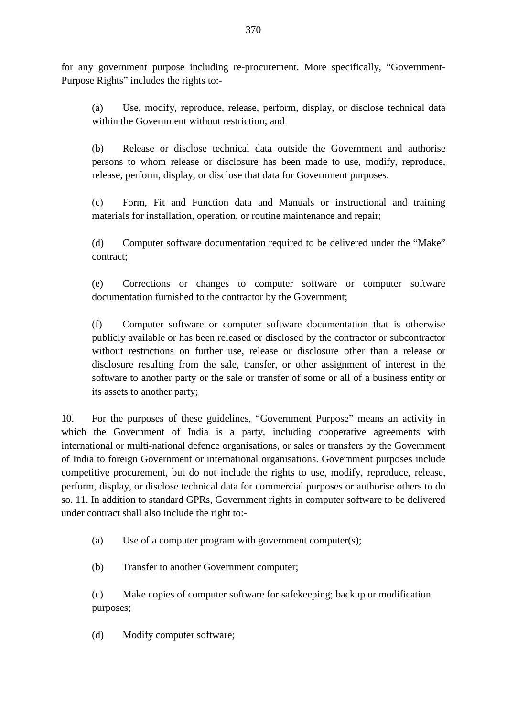for any government purpose including re-procurement. More specifically, "Government-Purpose Rights" includes the rights to:-

(a) Use, modify, reproduce, release, perform, display, or disclose technical data within the Government without restriction; and

(b) Release or disclose technical data outside the Government and authorise persons to whom release or disclosure has been made to use, modify, reproduce, release, perform, display, or disclose that data for Government purposes.

(c) Form, Fit and Function data and Manuals or instructional and training materials for installation, operation, or routine maintenance and repair;

(d) Computer software documentation required to be delivered under the "Make" contract;

(e) Corrections or changes to computer software or computer software documentation furnished to the contractor by the Government;

(f) Computer software or computer software documentation that is otherwise publicly available or has been released or disclosed by the contractor or subcontractor without restrictions on further use, release or disclosure other than a release or disclosure resulting from the sale, transfer, or other assignment of interest in the software to another party or the sale or transfer of some or all of a business entity or its assets to another party;

10. For the purposes of these guidelines, "Government Purpose" means an activity in which the Government of India is a party, including cooperative agreements with international or multi-national defence organisations, or sales or transfers by the Government of India to foreign Government or international organisations. Government purposes include competitive procurement, but do not include the rights to use, modify, reproduce, release, perform, display, or disclose technical data for commercial purposes or authorise others to do so. 11. In addition to standard GPRs, Government rights in computer software to be delivered under contract shall also include the right to:-

(a) Use of a computer program with government computer(s);

(b) Transfer to another Government computer;

(c) Make copies of computer software for safekeeping; backup or modification purposes;

(d) Modify computer software;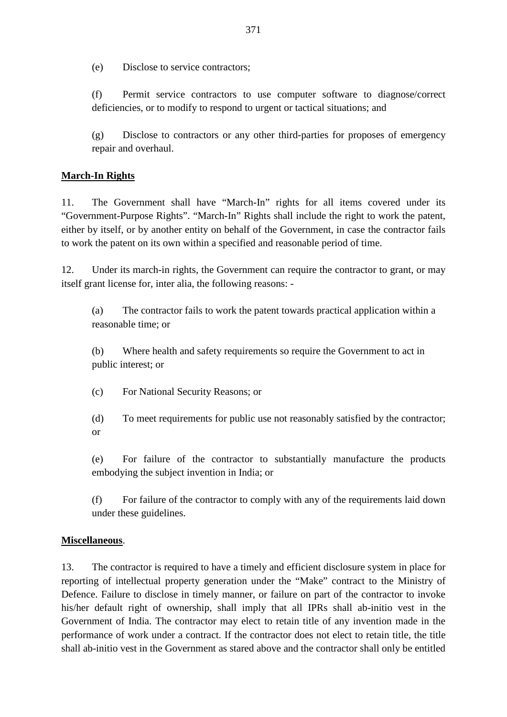(e) Disclose to service contractors;

(f) Permit service contractors to use computer software to diagnose/correct deficiencies, or to modify to respond to urgent or tactical situations; and

(g) Disclose to contractors or any other third-parties for proposes of emergency repair and overhaul.

## **March-In Rights**

11. The Government shall have "March-In" rights for all items covered under its "Government-Purpose Rights". "March-In" Rights shall include the right to work the patent, either by itself, or by another entity on behalf of the Government, in case the contractor fails to work the patent on its own within a specified and reasonable period of time.

12. Under its march-in rights, the Government can require the contractor to grant, or may itself grant license for, inter alia, the following reasons: -

(a) The contractor fails to work the patent towards practical application within a reasonable time; or

(b) Where health and safety requirements so require the Government to act in public interest; or

(c) For National Security Reasons; or

(d) To meet requirements for public use not reasonably satisfied by the contractor; or

(e) For failure of the contractor to substantially manufacture the products embodying the subject invention in India; or

(f) For failure of the contractor to comply with any of the requirements laid down under these guidelines.

### **Miscellaneous**.

13. The contractor is required to have a timely and efficient disclosure system in place for reporting of intellectual property generation under the "Make" contract to the Ministry of Defence. Failure to disclose in timely manner, or failure on part of the contractor to invoke his/her default right of ownership, shall imply that all IPRs shall ab-initio vest in the Government of India. The contractor may elect to retain title of any invention made in the performance of work under a contract. If the contractor does not elect to retain title, the title shall ab-initio vest in the Government as stared above and the contractor shall only be entitled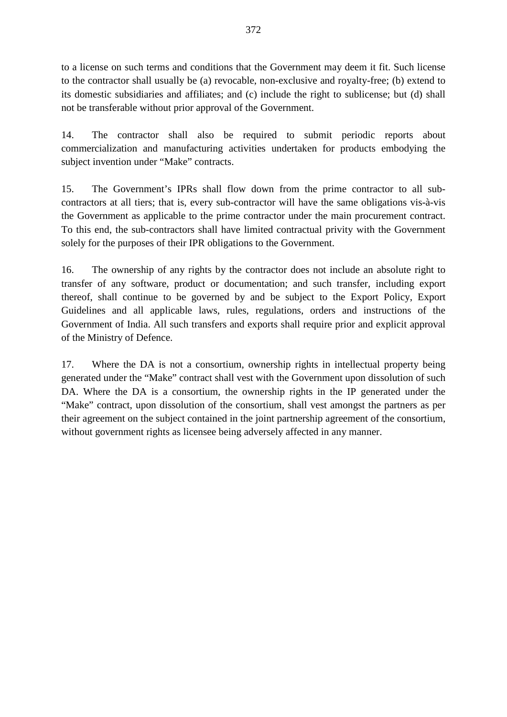to a license on such terms and conditions that the Government may deem it fit. Such license to the contractor shall usually be (a) revocable, non-exclusive and royalty-free; (b) extend to its domestic subsidiaries and affiliates; and (c) include the right to sublicense; but (d) shall not be transferable without prior approval of the Government.

14. The contractor shall also be required to submit periodic reports about commercialization and manufacturing activities undertaken for products embodying the subject invention under "Make" contracts.

15. The Government's IPRs shall flow down from the prime contractor to all subcontractors at all tiers; that is, every sub-contractor will have the same obligations vis-à-vis the Government as applicable to the prime contractor under the main procurement contract. To this end, the sub-contractors shall have limited contractual privity with the Government solely for the purposes of their IPR obligations to the Government.

16. The ownership of any rights by the contractor does not include an absolute right to transfer of any software, product or documentation; and such transfer, including export thereof, shall continue to be governed by and be subject to the Export Policy, Export Guidelines and all applicable laws, rules, regulations, orders and instructions of the Government of India. All such transfers and exports shall require prior and explicit approval of the Ministry of Defence.

17. Where the DA is not a consortium, ownership rights in intellectual property being generated under the "Make" contract shall vest with the Government upon dissolution of such DA. Where the DA is a consortium, the ownership rights in the IP generated under the "Make" contract, upon dissolution of the consortium, shall vest amongst the partners as per their agreement on the subject contained in the joint partnership agreement of the consortium, without government rights as licensee being adversely affected in any manner.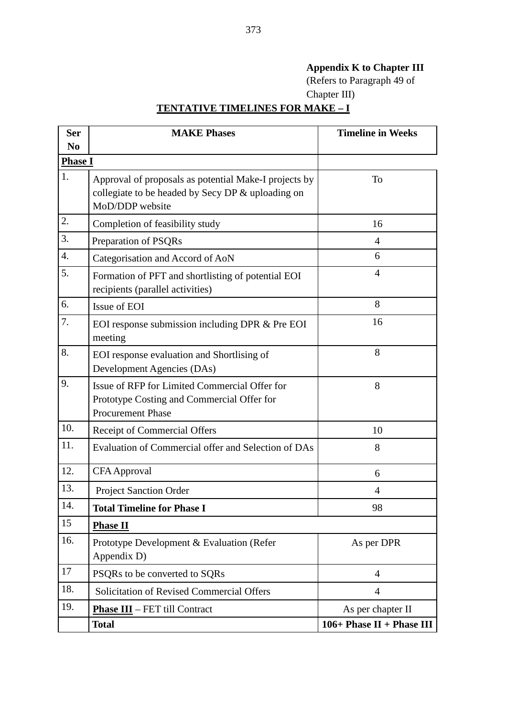# **Appendix K to Chapter III**

(Refers to Paragraph 49 of Chapter III)

# **TENTATIVE TIMELINES FOR MAKE – I**

| <b>Ser</b>     | <b>MAKE Phases</b>                                                                                                            | <b>Timeline in Weeks</b>   |  |  |  |
|----------------|-------------------------------------------------------------------------------------------------------------------------------|----------------------------|--|--|--|
| N <sub>0</sub> |                                                                                                                               |                            |  |  |  |
| <b>Phase I</b> |                                                                                                                               |                            |  |  |  |
| 1.             | Approval of proposals as potential Make-I projects by<br>collegiate to be headed by Secy DP & uploading on<br>MoD/DDP website | To                         |  |  |  |
| 2.             | Completion of feasibility study                                                                                               | 16                         |  |  |  |
| 3.             | Preparation of PSQRs                                                                                                          | $\overline{4}$             |  |  |  |
| 4.             | Categorisation and Accord of AoN                                                                                              | 6                          |  |  |  |
| 5.             | Formation of PFT and shortlisting of potential EOI<br>recipients (parallel activities)                                        | $\overline{4}$             |  |  |  |
| 6.             | Issue of EOI                                                                                                                  | 8                          |  |  |  |
| 7.             | EOI response submission including DPR & Pre EOI<br>meeting                                                                    | 16                         |  |  |  |
| 8.             | EOI response evaluation and Shortlising of<br>Development Agencies (DAs)                                                      | 8                          |  |  |  |
| 9.             | Issue of RFP for Limited Commercial Offer for<br>Prototype Costing and Commercial Offer for<br><b>Procurement Phase</b>       | 8                          |  |  |  |
| 10.            | Receipt of Commercial Offers                                                                                                  | 10                         |  |  |  |
| 11.            | Evaluation of Commercial offer and Selection of DAs                                                                           | 8                          |  |  |  |
| 12.            | <b>CFA</b> Approval                                                                                                           | 6                          |  |  |  |
| 13.            | <b>Project Sanction Order</b>                                                                                                 | 4                          |  |  |  |
| 14.            | <b>Total Timeline for Phase I</b>                                                                                             | 98                         |  |  |  |
| 15             | <b>Phase II</b>                                                                                                               |                            |  |  |  |
| 16.            | Prototype Development & Evaluation (Refer<br>Appendix D)                                                                      | As per DPR                 |  |  |  |
| 17             | PSQRs to be converted to SQRs                                                                                                 | $\overline{4}$             |  |  |  |
| 18.            | <b>Solicitation of Revised Commercial Offers</b>                                                                              | $\overline{4}$             |  |  |  |
| 19.            | <b>Phase III</b> - FET till Contract                                                                                          | As per chapter II          |  |  |  |
|                | Total                                                                                                                         | $106+Phase II + Phase III$ |  |  |  |